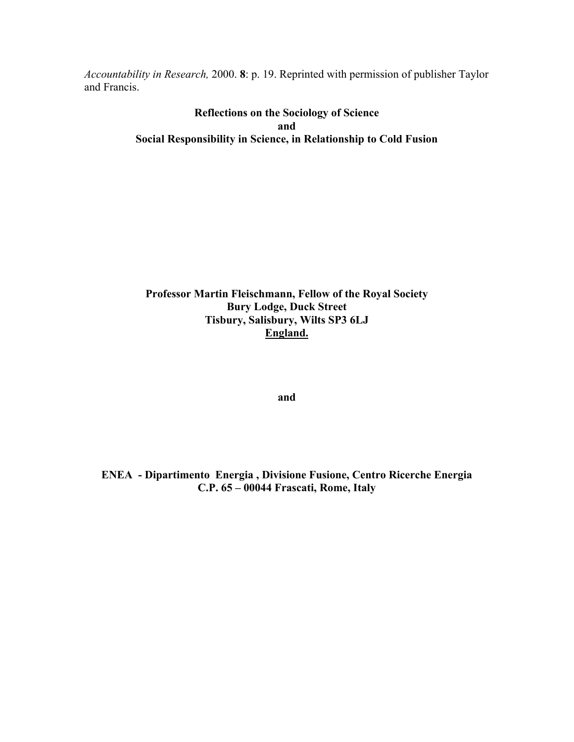*Accountability in Research,* 2000. **8**: p. 19. Reprinted with permission of publisher Taylor and Francis.

> **Reflections on the Sociology of Science and Social Responsibility in Science, in Relationship to Cold Fusion**

## **Professor Martin Fleischmann, Fellow of the Royal Society Bury Lodge, Duck Street Tisbury, Salisbury, Wilts SP3 6LJ England.**

**and** 

**ENEA - Dipartimento Energia , Divisione Fusione, Centro Ricerche Energia C.P. 65 – 00044 Frascati, Rome, Italy**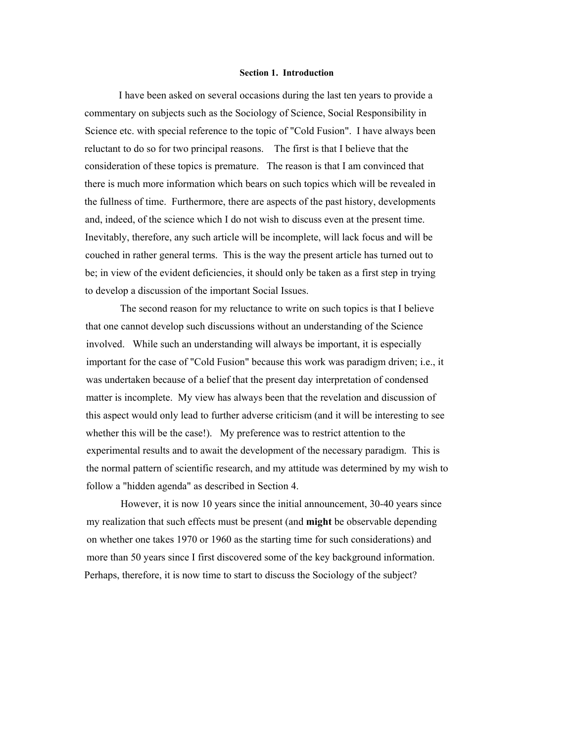#### **Section 1. Introduction**

I have been asked on several occasions during the last ten years to provide a commentary on subjects such as the Sociology of Science, Social Responsibility in Science etc. with special reference to the topic of "Cold Fusion". I have always been reluctant to do so for two principal reasons. The first is that I believe that the consideration of these topics is premature. The reason is that I am convinced that there is much more information which bears on such topics which will be revealed in the fullness of time. Furthermore, there are aspects of the past history, developments and, indeed, of the science which I do not wish to discuss even at the present time. Inevitably, therefore, any such article will be incomplete, will lack focus and will be couched in rather general terms. This is the way the present article has turned out to be; in view of the evident deficiencies, it should only be taken as a first step in trying to develop a discussion of the important Social Issues.

The second reason for my reluctance to write on such topics is that I believe that one cannot develop such discussions without an understanding of the Science involved. While such an understanding will always be important, it is especially important for the case of "Cold Fusion" because this work was paradigm driven; i.e., it was undertaken because of a belief that the present day interpretation of condensed matter is incomplete. My view has always been that the revelation and discussion of this aspect would only lead to further adverse criticism (and it will be interesting to see whether this will be the case!). My preference was to restrict attention to the experimental results and to await the development of the necessary paradigm. This is the normal pattern of scientific research, and my attitude was determined by my wish to follow a "hidden agenda" as described in Section 4.

However, it is now 10 years since the initial announcement, 30-40 years since my realization that such effects must be present (and **might** be observable depending on whether one takes 1970 or 1960 as the starting time for such considerations) and more than 50 years since I first discovered some of the key background information. Perhaps, therefore, it is now time to start to discuss the Sociology of the subject?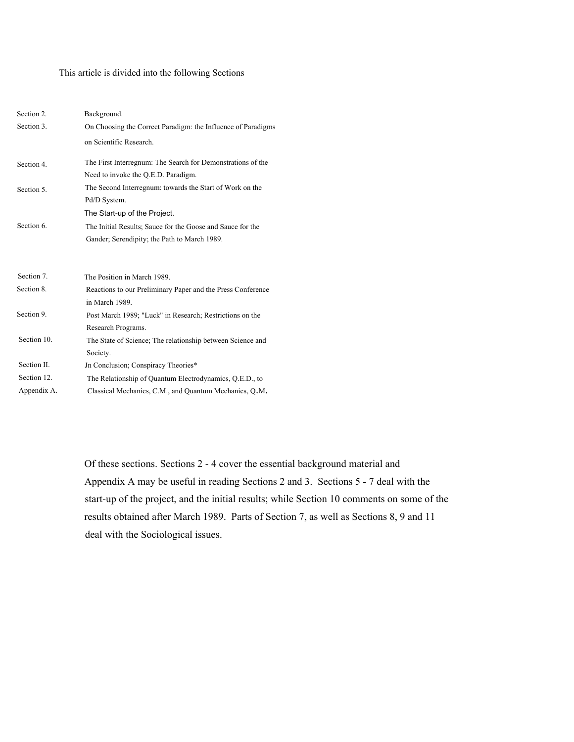### This article is divided into the following Sections

| Section 2.  | Background.                                                  |
|-------------|--------------------------------------------------------------|
| Section 3.  | On Choosing the Correct Paradigm: the Influence of Paradigms |
|             | on Scientific Research.                                      |
| Section 4.  | The First Interregnum: The Search for Demonstrations of the  |
|             | Need to invoke the Q.E.D. Paradigm.                          |
| Section 5.  | The Second Interregnum: towards the Start of Work on the     |
|             | Pd/D System.                                                 |
|             | The Start-up of the Project.                                 |
| Section 6.  | The Initial Results; Sauce for the Goose and Sauce for the   |
|             | Gander; Serendipity; the Path to March 1989.                 |
|             |                                                              |
| Section 7.  | The Position in March 1989.                                  |
| Section 8.  | Reactions to our Preliminary Paper and the Press Conference  |
|             | in March 1989.                                               |
| Section 9.  | Post March 1989; "Luck" in Research; Restrictions on the     |
|             | Research Programs.                                           |
| Section 10. | The State of Science; The relationship between Science and   |
|             | Society.                                                     |
| Section II. | Jn Conclusion; Conspiracy Theories*                          |
| Section 12. | The Relationship of Quantum Electrodynamics, Q.E.D., to      |
| Appendix A. | Classical Mechanics, C.M., and Quantum Mechanics, Q.M.       |

Of these sections. Sections 2 - 4 cover the essential background material and Appendix A may be useful in reading Sections 2 and 3. Sections 5 - 7 deal with the start-up of the project, and the initial results; while Section 10 comments on some of the results obtained after March 1989. Parts of Section 7, as well as Sections 8, 9 and 11 deal with the Sociological issues.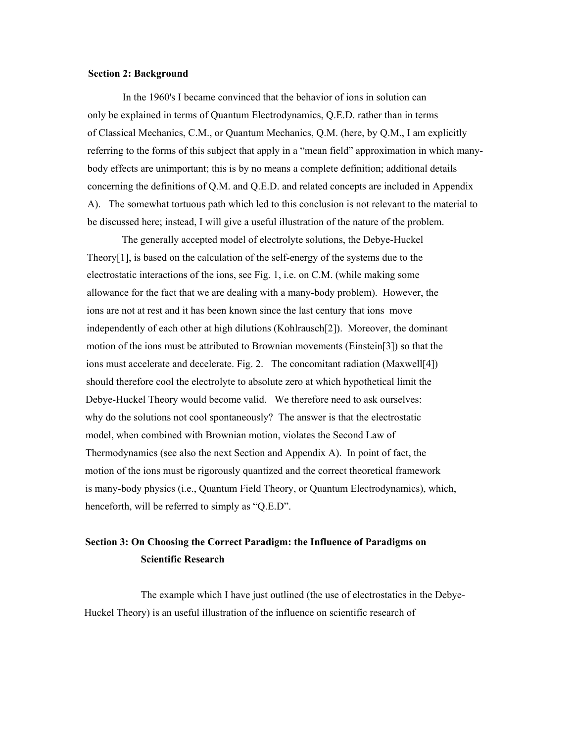#### **Section 2: Background**

In the 1960's I became convinced that the behavior of ions in solution can only be explained in terms of Quantum Electrodynamics, Q.E.D. rather than in terms of Classical Mechanics, C.M., or Quantum Mechanics, Q.M. (here, by Q.M., I am explicitly referring to the forms of this subject that apply in a "mean field" approximation in which manybody effects are unimportant; this is by no means a complete definition; additional details concerning the definitions of Q.M. and Q.E.D. and related concepts are included in Appendix A). The somewhat tortuous path which led to this conclusion is not relevant to the material to be discussed here; instead, I will give a useful illustration of the nature of the problem.

The generally accepted model of electrolyte solutions, the Debye-Huckel Theory[1], is based on the calculation of the self-energy of the systems due to the electrostatic interactions of the ions, see Fig. 1, i.e. on C.M. (while making some allowance for the fact that we are dealing with a many-body problem). However, the ions are not at rest and it has been known since the last century that ions move independently of each other at high dilutions (Kohlrausch[2]). Moreover, the dominant motion of the ions must be attributed to Brownian movements (Einstein[3]) so that the ions must accelerate and decelerate. Fig. 2. The concomitant radiation (Maxwell[4]) should therefore cool the electrolyte to absolute zero at which hypothetical limit the Debye-Huckel Theory would become valid. We therefore need to ask ourselves: why do the solutions not cool spontaneously? The answer is that the electrostatic model, when combined with Brownian motion, violates the Second Law of Thermodynamics (see also the next Section and Appendix A). In point of fact, the motion of the ions must be rigorously quantized and the correct theoretical framework is many-body physics (i.e., Quantum Field Theory, or Quantum Electrodynamics), which, henceforth, will be referred to simply as "Q.E.D".

# **Section 3: On Choosing the Correct Paradigm: the Influence of Paradigms on Scientific Research**

The example which I have just outlined (the use of electrostatics in the Debye-Huckel Theory) is an useful illustration of the influence on scientific research of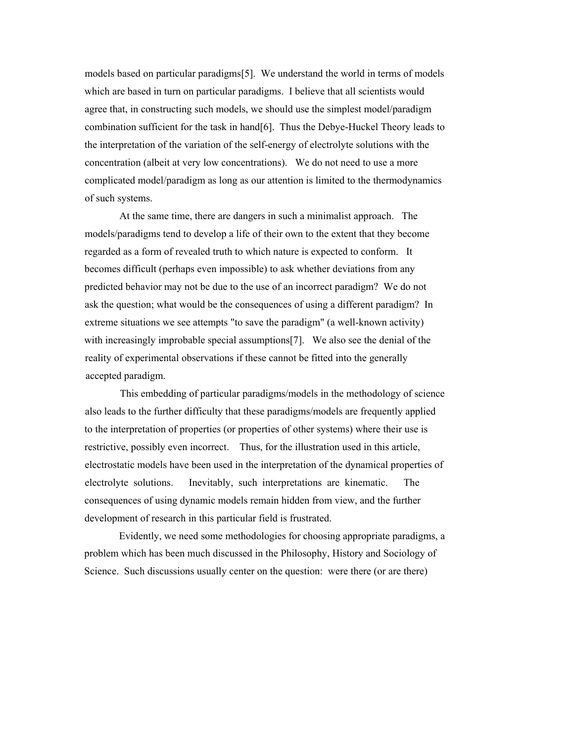models based on particular paradigms[5]. We understand the world in terms of models which are based in turn on particular paradigms. I believe that all scientists would agree that, in constructing such models, we should use the simplest model/paradigm combination sufficient for the task in hand[6]. Thus the Debye-Huckel Theory leads to the interpretation of the variation of the self-energy of electrolyte solutions with the concentration (albeit at very low concentrations). We do not need to use a more complicated model/paradigm as long as our attention is limited to the thermodynamics of such systems.

At the same time, there are dangers in such a minimalist approach. The models/paradigms tend to develop a life of their own to the extent that they become regarded as a form of revealed truth to which nature is expected to conform. It becomes difficult (perhaps even impossible) to ask whether deviations from any predicted behavior may not be due to the use of an incorrect paradigm? We do not ask the question; what would be the consequences of using a different paradigm? In extreme situations we see attempts "to save the paradigm" (a well-known activity) with increasingly improbable special assumptions[7]. We also see the denial of the reality of experimental observations if these cannot be fitted into the generally accepted paradigm.

This embedding of particular paradigms/models in the methodology of science also leads to the further difficulty that these paradigms/models are frequently applied to the interpretation of properties (or properties of other systems) where their use is restrictive, possibly even incorrect. Thus, for the illustration used in this article, electrostatic models have been used in the interpretation of the dynamical properties of electrolyte solutions. Inevitably, such interpretations are kinematic. The consequences of using dynamic models remain hidden from view, and the further development of research in this particular field is frustrated.

Evidently, we need some methodologies for choosing appropriate paradigms, a problem which has been much discussed in the Philosophy, History and Sociology of Science. Such discussions usually center on the question: were there (or are there)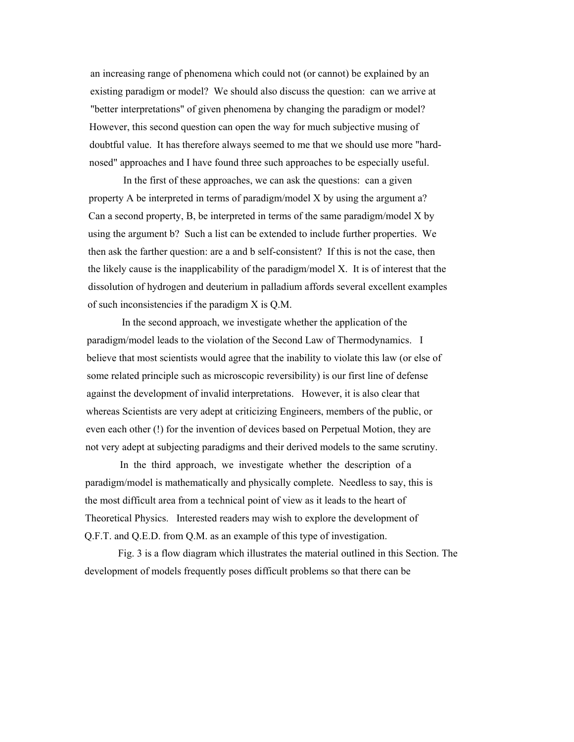an increasing range of phenomena which could not (or cannot) be explained by an existing paradigm or model? We should also discuss the question: can we arrive at "better interpretations" of given phenomena by changing the paradigm or model? However, this second question can open the way for much subjective musing of doubtful value. It has therefore always seemed to me that we should use more "hardnosed" approaches and I have found three such approaches to be especially useful.

In the first of these approaches, we can ask the questions: can a given property A be interpreted in terms of paradigm/model X by using the argument a? Can a second property, B, be interpreted in terms of the same paradigm/model X by using the argument b? Such a list can be extended to include further properties. We then ask the farther question: are a and b self-consistent? If this is not the case, then the likely cause is the inapplicability of the paradigm/model X. It is of interest that the dissolution of hydrogen and deuterium in palladium affords several excellent examples of such inconsistencies if the paradigm X is Q.M.

In the second approach, we investigate whether the application of the paradigm/model leads to the violation of the Second Law of Thermodynamics. I believe that most scientists would agree that the inability to violate this law (or else of some related principle such as microscopic reversibility) is our first line of defense against the development of invalid interpretations. However, it is also clear that whereas Scientists are very adept at criticizing Engineers, members of the public, or even each other (!) for the invention of devices based on Perpetual Motion, they are not very adept at subjecting paradigms and their derived models to the same scrutiny.

In the third approach, we investigate whether the description of a paradigm/model is mathematically and physically complete. Needless to say, this is the most difficult area from a technical point of view as it leads to the heart of Theoretical Physics. Interested readers may wish to explore the development of Q.F.T. and Q.E.D. from Q.M. as an example of this type of investigation.

Fig. 3 is a flow diagram which illustrates the material outlined in this Section. The development of models frequently poses difficult problems so that there can be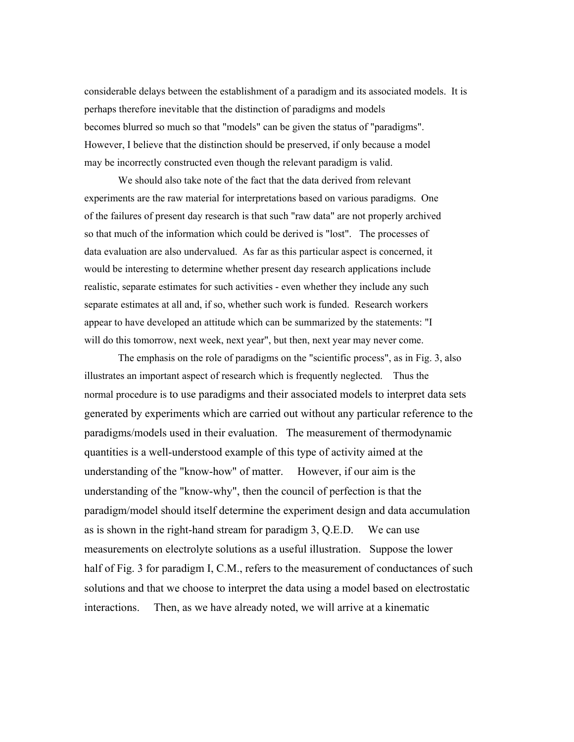considerable delays between the establishment of a paradigm and its associated models. It is perhaps therefore inevitable that the distinction of paradigms and models becomes blurred so much so that "models" can be given the status of "paradigms". However, I believe that the distinction should be preserved, if only because a model may be incorrectly constructed even though the relevant paradigm is valid.

We should also take note of the fact that the data derived from relevant experiments are the raw material for interpretations based on various paradigms. One of the failures of present day research is that such "raw data" are not properly archived so that much of the information which could be derived is "lost". The processes of data evaluation are also undervalued. As far as this particular aspect is concerned, it would be interesting to determine whether present day research applications include realistic, separate estimates for such activities - even whether they include any such separate estimates at all and, if so, whether such work is funded. Research workers appear to have developed an attitude which can be summarized by the statements: "I will do this tomorrow, next week, next year", but then, next year may never come.

The emphasis on the role of paradigms on the "scientific process", as in Fig. 3, also illustrates an important aspect of research which is frequently neglected. Thus the normal procedure is to use paradigms and their associated models to interpret data sets generated by experiments which are carried out without any particular reference to the paradigms/models used in their evaluation. The measurement of thermodynamic quantities is a well-understood example of this type of activity aimed at the understanding of the "know-how" of matter. However, if our aim is the understanding of the "know-why", then the council of perfection is that the paradigm/model should itself determine the experiment design and data accumulation as is shown in the right-hand stream for paradigm 3, Q.E.D. We can use measurements on electrolyte solutions as a useful illustration. Suppose the lower half of Fig. 3 for paradigm I, C.M., refers to the measurement of conductances of such solutions and that we choose to interpret the data using a model based on electrostatic interactions. Then, as we have already noted, we will arrive at a kinematic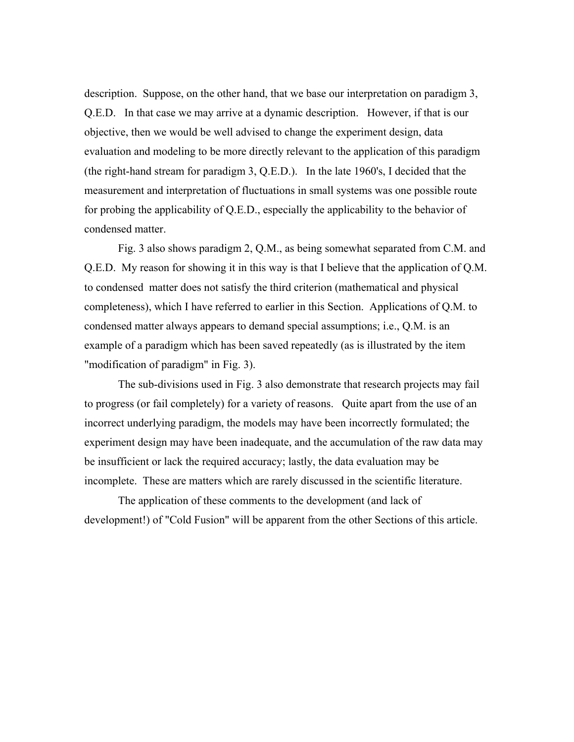description. Suppose, on the other hand, that we base our interpretation on paradigm 3, Q.E.D. In that case we may arrive at a dynamic description. However, if that is our objective, then we would be well advised to change the experiment design, data evaluation and modeling to be more directly relevant to the application of this paradigm (the right-hand stream for paradigm 3, Q.E.D.). In the late 1960's, I decided that the measurement and interpretation of fluctuations in small systems was one possible route for probing the applicability of Q.E.D., especially the applicability to the behavior of condensed matter.

Fig. 3 also shows paradigm 2, Q.M., as being somewhat separated from C.M. and Q.E.D. My reason for showing it in this way is that I believe that the application of Q.M. to condensed matter does not satisfy the third criterion (mathematical and physical completeness), which I have referred to earlier in this Section. Applications of Q.M. to condensed matter always appears to demand special assumptions; i.e., Q.M. is an example of a paradigm which has been saved repeatedly (as is illustrated by the item "modification of paradigm" in Fig. 3).

The sub-divisions used in Fig. 3 also demonstrate that research projects may fail to progress (or fail completely) for a variety of reasons. Quite apart from the use of an incorrect underlying paradigm, the models may have been incorrectly formulated; the experiment design may have been inadequate, and the accumulation of the raw data may be insufficient or lack the required accuracy; lastly, the data evaluation may be incomplete. These are matters which are rarely discussed in the scientific literature.

The application of these comments to the development (and lack of development!) of "Cold Fusion" will be apparent from the other Sections of this article.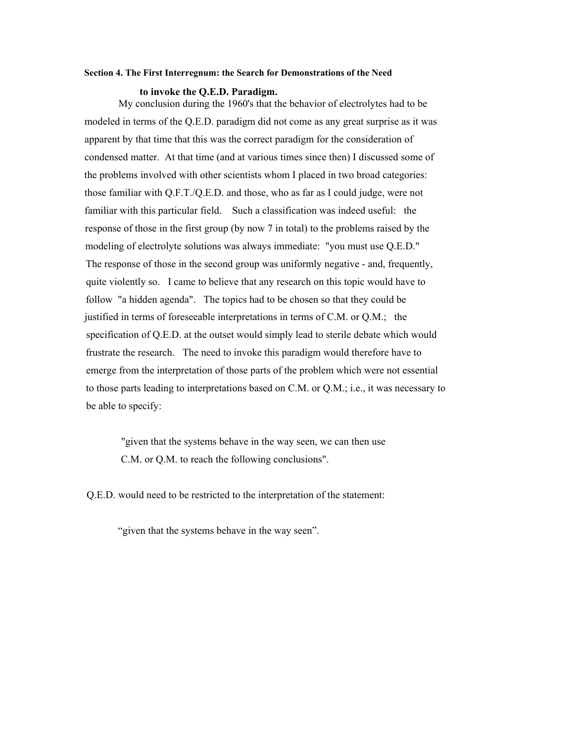#### **Section 4. The First Interregnum: the Search for Demonstrations of the Need**

#### **to invoke the Q.E.D. Paradigm.**

My conclusion during the 1960's that the behavior of electrolytes had to be modeled in terms of the Q.E.D. paradigm did not come as any great surprise as it was apparent by that time that this was the correct paradigm for the consideration of condensed matter. At that time (and at various times since then) I discussed some of the problems involved with other scientists whom I placed in two broad categories: those familiar with Q.F.T./Q.E.D. and those, who as far as I could judge, were not familiar with this particular field. Such a classification was indeed useful: the response of those in the first group (by now 7 in total) to the problems raised by the modeling of electrolyte solutions was always immediate: "you must use Q.E.D." The response of those in the second group was uniformly negative - and, frequently, quite violently so. I came to believe that any research on this topic would have to follow "a hidden agenda". The topics had to be chosen so that they could be justified in terms of foreseeable interpretations in terms of C.M. or Q.M.; the specification of Q.E.D. at the outset would simply lead to sterile debate which would frustrate the research. The need to invoke this paradigm would therefore have to emerge from the interpretation of those parts of the problem which were not essential to those parts leading to interpretations based on C.M. or Q.M.; i.e., it was necessary to be able to specify:

"given that the systems behave in the way seen, we can then use C.M. or Q.M. to reach the following conclusions".

Q.E.D. would need to be restricted to the interpretation of the statement:

"given that the systems behave in the way seen".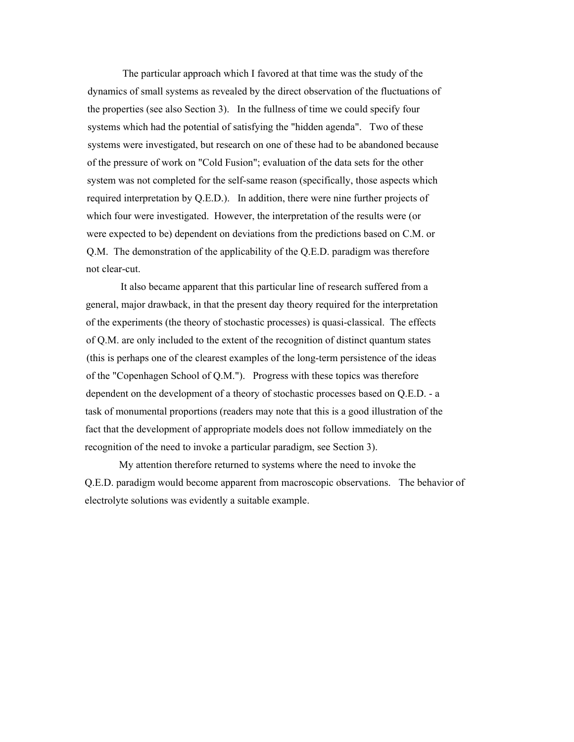The particular approach which I favored at that time was the study of the dynamics of small systems as revealed by the direct observation of the fluctuations of the properties (see also Section 3). In the fullness of time we could specify four systems which had the potential of satisfying the "hidden agenda". Two of these systems were investigated, but research on one of these had to be abandoned because of the pressure of work on "Cold Fusion"; evaluation of the data sets for the other system was not completed for the self-same reason (specifically, those aspects which required interpretation by Q.E.D.). In addition, there were nine further projects of which four were investigated. However, the interpretation of the results were (or were expected to be) dependent on deviations from the predictions based on C.M. or Q.M. The demonstration of the applicability of the Q.E.D. paradigm was therefore not clear-cut.

It also became apparent that this particular line of research suffered from a general, major drawback, in that the present day theory required for the interpretation of the experiments (the theory of stochastic processes) is quasi-classical. The effects of Q.M. are only included to the extent of the recognition of distinct quantum states (this is perhaps one of the clearest examples of the long-term persistence of the ideas of the "Copenhagen School of Q.M."). Progress with these topics was therefore dependent on the development of a theory of stochastic processes based on Q.E.D. - a task of monumental proportions (readers may note that this is a good illustration of the fact that the development of appropriate models does not follow immediately on the recognition of the need to invoke a particular paradigm, see Section 3).

My attention therefore returned to systems where the need to invoke the Q.E.D. paradigm would become apparent from macroscopic observations. The behavior of electrolyte solutions was evidently a suitable example.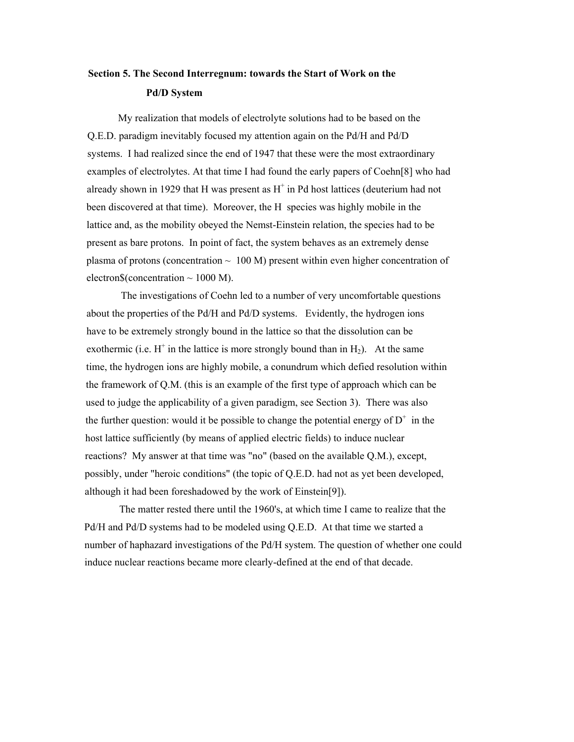# **Section 5. The Second Interregnum: towards the Start of Work on the Pd/D System**

My realization that models of electrolyte solutions had to be based on the Q.E.D. paradigm inevitably focused my attention again on the Pd/H and Pd/D systems. I had realized since the end of 1947 that these were the most extraordinary examples of electrolytes. At that time I had found the early papers of Coehn[8] who had already shown in 1929 that H was present as  $H^+$  in Pd host lattices (deuterium had not been discovered at that time). Moreover, the H species was highly mobile in the lattice and, as the mobility obeyed the Nemst-Einstein relation, the species had to be present as bare protons. In point of fact, the system behaves as an extremely dense plasma of protons (concentration  $\sim 100$  M) present within even higher concentration of electron\$(concentration  $\sim$  1000 M).

The investigations of Coehn led to a number of very uncomfortable questions about the properties of the Pd/H and Pd/D systems. Evidently, the hydrogen ions have to be extremely strongly bound in the lattice so that the dissolution can be exothermic (i.e.  $H^+$  in the lattice is more strongly bound than in  $H_2$ ). At the same time, the hydrogen ions are highly mobile, a conundrum which defied resolution within the framework of Q.M. (this is an example of the first type of approach which can be used to judge the applicability of a given paradigm, see Section 3). There was also the further question: would it be possible to change the potential energy of  $D^+$  in the host lattice sufficiently (by means of applied electric fields) to induce nuclear reactions? My answer at that time was "no" (based on the available Q.M.), except, possibly, under "heroic conditions" (the topic of Q.E.D. had not as yet been developed, although it had been foreshadowed by the work of Einstein[9]).

The matter rested there until the 1960's, at which time I came to realize that the Pd/H and Pd/D systems had to be modeled using Q.E.D. At that time we started a number of haphazard investigations of the Pd/H system. The question of whether one could induce nuclear reactions became more clearly-defined at the end of that decade.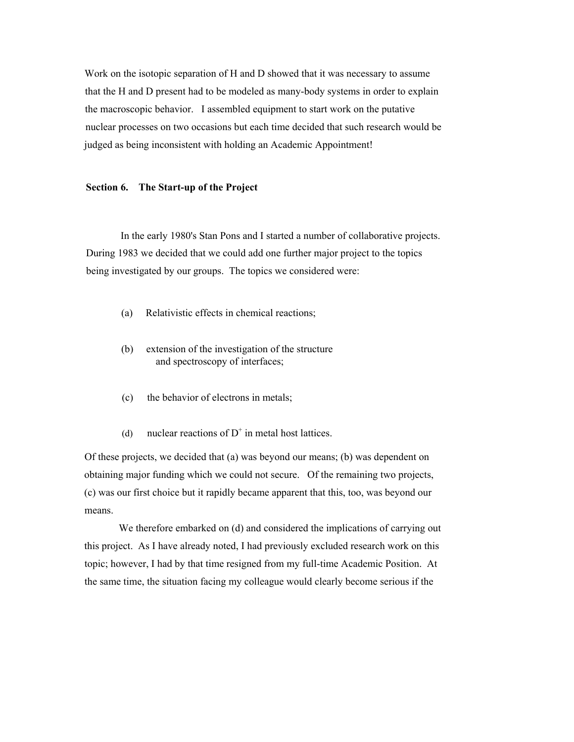Work on the isotopic separation of H and D showed that it was necessary to assume that the H and D present had to be modeled as many-body systems in order to explain the macroscopic behavior. I assembled equipment to start work on the putative nuclear processes on two occasions but each time decided that such research would be judged as being inconsistent with holding an Academic Appointment!

### **Section 6. The Start-up of the Project**

In the early 1980's Stan Pons and I started a number of collaborative projects. During 1983 we decided that we could add one further major project to the topics being investigated by our groups. The topics we considered were:

- (a) Relativistic effects in chemical reactions;
- (b) extension of the investigation of the structure and spectroscopy of interfaces;
- (c) the behavior of electrons in metals;
- (d) nuclear reactions of  $D^+$  in metal host lattices.

Of these projects, we decided that (a) was beyond our means; (b) was dependent on obtaining major funding which we could not secure. Of the remaining two projects, (c) was our first choice but it rapidly became apparent that this, too, was beyond our means.

We therefore embarked on (d) and considered the implications of carrying out this project. As I have already noted, I had previously excluded research work on this topic; however, I had by that time resigned from my full-time Academic Position. At the same time, the situation facing my colleague would clearly become serious if the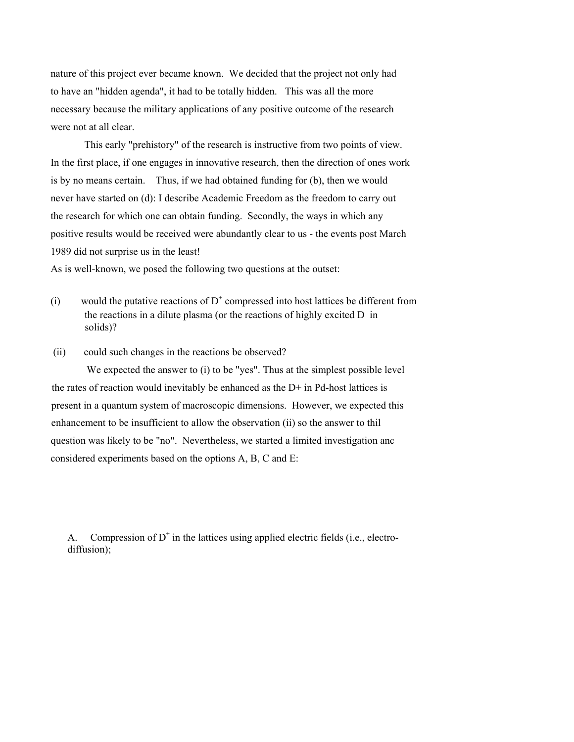nature of this project ever became known. We decided that the project not only had to have an "hidden agenda", it had to be totally hidden. This was all the more necessary because the military applications of any positive outcome of the research were not at all clear.

This early "prehistory" of the research is instructive from two points of view. In the first place, if one engages in innovative research, then the direction of ones work is by no means certain. Thus, if we had obtained funding for (b), then we would never have started on (d): I describe Academic Freedom as the freedom to carry out the research for which one can obtain funding. Secondly, the ways in which any positive results would be received were abundantly clear to us - the events post March 1989 did not surprise us in the least!

As is well-known, we posed the following two questions at the outset:

- (i) would the putative reactions of  $D^+$  compressed into host lattices be different from the reactions in a dilute plasma (or the reactions of highly excited D in solids)?
- (ii) could such changes in the reactions be observed?

We expected the answer to (i) to be "yes". Thus at the simplest possible level the rates of reaction would inevitably be enhanced as the D+ in Pd-host lattices is present in a quantum system of macroscopic dimensions. However, we expected this enhancement to be insufficient to allow the observation (ii) so the answer to thil question was likely to be "no". Nevertheless, we started a limited investigation anc considered experiments based on the options A, B, C and E:

A. Compression of  $D^+$  in the lattices using applied electric fields (i.e., electrodiffusion);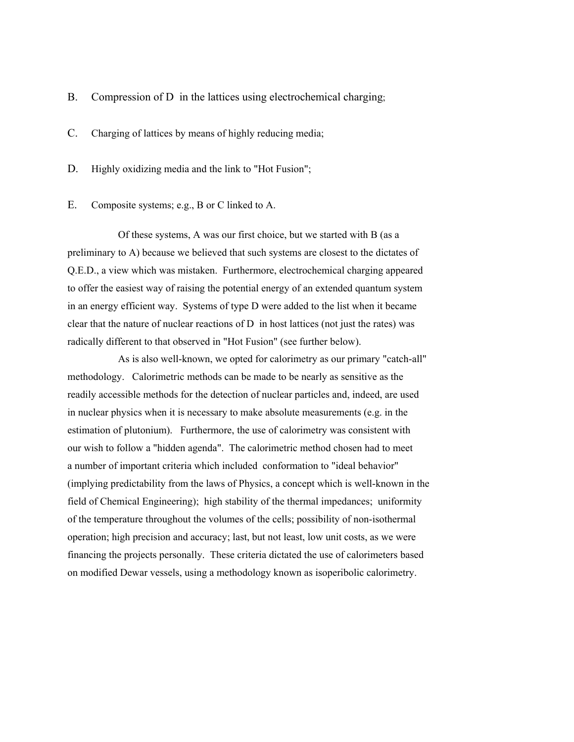### B. Compression of D in the lattices using electrochemical charging;

- C. Charging of lattices by means of highly reducing media;
- D. Highly oxidizing media and the link to "Hot Fusion";
- E. Composite systems; e.g., B or C linked to A.

Of these systems, A was our first choice, but we started with B (as a preliminary to A) because we believed that such systems are closest to the dictates of Q.E.D., a view which was mistaken. Furthermore, electrochemical charging appeared to offer the easiest way of raising the potential energy of an extended quantum system in an energy efficient way. Systems of type D were added to the list when it became clear that the nature of nuclear reactions of D in host lattices (not just the rates) was radically different to that observed in "Hot Fusion" (see further below).

As is also well-known, we opted for calorimetry as our primary "catch-all" methodology. Calorimetric methods can be made to be nearly as sensitive as the readily accessible methods for the detection of nuclear particles and, indeed, are used in nuclear physics when it is necessary to make absolute measurements (e.g. in the estimation of plutonium). Furthermore, the use of calorimetry was consistent with our wish to follow a "hidden agenda". The calorimetric method chosen had to meet a number of important criteria which included conformation to "ideal behavior" (implying predictability from the laws of Physics, a concept which is well-known in the field of Chemical Engineering); high stability of the thermal impedances; uniformity of the temperature throughout the volumes of the cells; possibility of non-isothermal operation; high precision and accuracy; last, but not least, low unit costs, as we were financing the projects personally. These criteria dictated the use of calorimeters based on modified Dewar vessels, using a methodology known as isoperibolic calorimetry.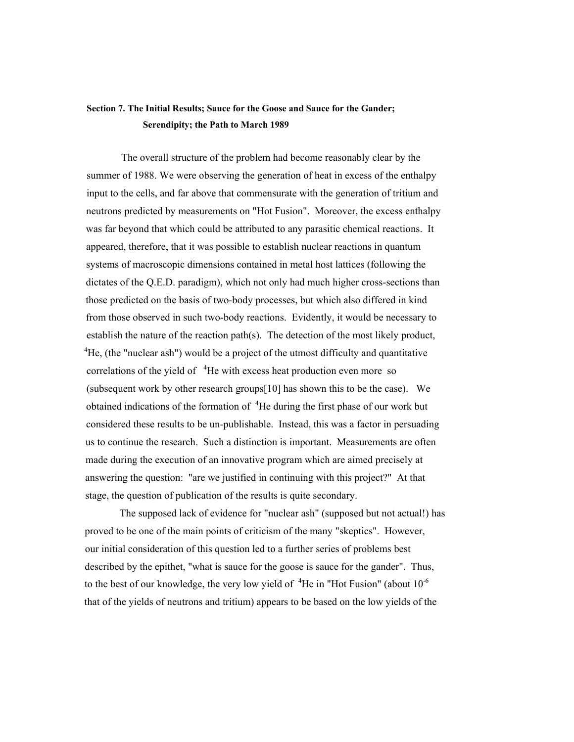## **Section 7. The Initial Results; Sauce for the Goose and Sauce for the Gander; Serendipity; the Path to March 1989**

The overall structure of the problem had become reasonably clear by the summer of 1988. We were observing the generation of heat in excess of the enthalpy input to the cells, and far above that commensurate with the generation of tritium and neutrons predicted by measurements on "Hot Fusion". Moreover, the excess enthalpy was far beyond that which could be attributed to any parasitic chemical reactions. It appeared, therefore, that it was possible to establish nuclear reactions in quantum systems of macroscopic dimensions contained in metal host lattices (following the dictates of the Q.E.D. paradigm), which not only had much higher cross-sections than those predicted on the basis of two-body processes, but which also differed in kind from those observed in such two-body reactions. Evidently, it would be necessary to establish the nature of the reaction path(s). The detection of the most likely product, <sup>4</sup>He, (the "nuclear ash") would be a project of the utmost difficulty and quantitative correlations of the yield of  $4$ He with excess heat production even more so (subsequent work by other research groups[10] has shown this to be the case). We obtained indications of the formation of <sup>4</sup>He during the first phase of our work but considered these results to be un-publishable. Instead, this was a factor in persuading us to continue the research. Such a distinction is important. Measurements are often made during the execution of an innovative program which are aimed precisely at answering the question: "are we justified in continuing with this project?" At that stage, the question of publication of the results is quite secondary.

The supposed lack of evidence for "nuclear ash" (supposed but not actual!) has proved to be one of the main points of criticism of the many "skeptics". However, our initial consideration of this question led to a further series of problems best described by the epithet, "what is sauce for the goose is sauce for the gander". Thus, to the best of our knowledge, the very low yield of  ${}^{4}$ He in "Hot Fusion" (about  $10^{-6}$ that of the yields of neutrons and tritium) appears to be based on the low yields of the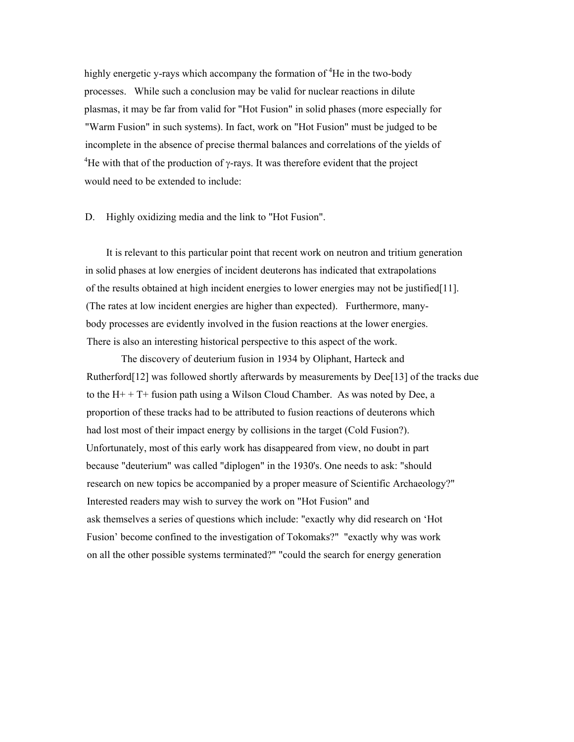highly energetic y-rays which accompany the formation of <sup>4</sup>He in the two-body processes. While such a conclusion may be valid for nuclear reactions in dilute plasmas, it may be far from valid for "Hot Fusion" in solid phases (more especially for "Warm Fusion" in such systems). In fact, work on "Hot Fusion" must be judged to be incomplete in the absence of precise thermal balances and correlations of the yields of <sup>4</sup>He with that of the production of γ-rays. It was therefore evident that the project would need to be extended to include:

D. Highly oxidizing media and the link to "Hot Fusion".

It is relevant to this particular point that recent work on neutron and tritium generation in solid phases at low energies of incident deuterons has indicated that extrapolations of the results obtained at high incident energies to lower energies may not be justified[11]. (The rates at low incident energies are higher than expected). Furthermore, manybody processes are evidently involved in the fusion reactions at the lower energies. There is also an interesting historical perspective to this aspect of the work.

The discovery of deuterium fusion in 1934 by Oliphant, Harteck and Rutherford[12] was followed shortly afterwards by measurements by Dee[13] of the tracks due to the  $H^+ + T^+$  fusion path using a Wilson Cloud Chamber. As was noted by Dee, a proportion of these tracks had to be attributed to fusion reactions of deuterons which had lost most of their impact energy by collisions in the target (Cold Fusion?). Unfortunately, most of this early work has disappeared from view, no doubt in part because "deuterium" was called "diplogen" in the 1930's. One needs to ask: "should research on new topics be accompanied by a proper measure of Scientific Archaeology?" Interested readers may wish to survey the work on "Hot Fusion" and ask themselves a series of questions which include: "exactly why did research on 'Hot Fusion' become confined to the investigation of Tokomaks?" "exactly why was work on all the other possible systems terminated?" "could the search for energy generation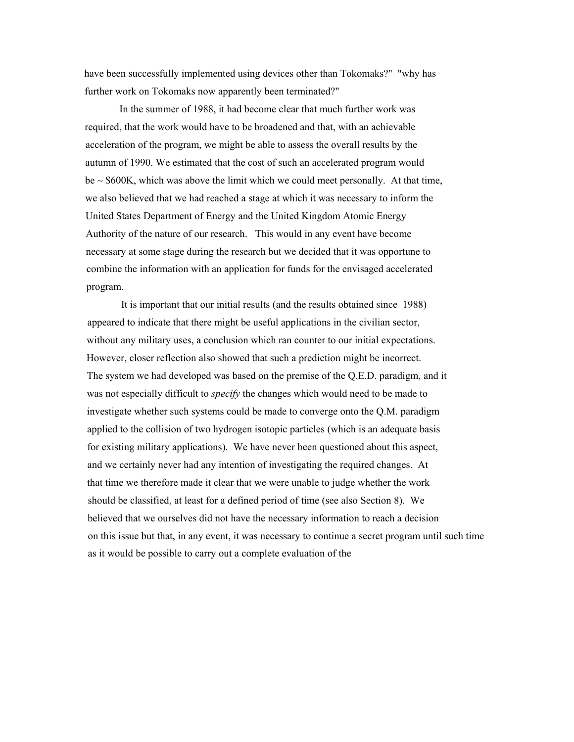have been successfully implemented using devices other than Tokomaks?" "why has further work on Tokomaks now apparently been terminated?"

In the summer of 1988, it had become clear that much further work was required, that the work would have to be broadened and that, with an achievable acceleration of the program, we might be able to assess the overall results by the autumn of 1990. We estimated that the cost of such an accelerated program would  $be \sim $600K$ , which was above the limit which we could meet personally. At that time, we also believed that we had reached a stage at which it was necessary to inform the United States Department of Energy and the United Kingdom Atomic Energy Authority of the nature of our research. This would in any event have become necessary at some stage during the research but we decided that it was opportune to combine the information with an application for funds for the envisaged accelerated program.

It is important that our initial results (and the results obtained since 1988) appeared to indicate that there might be useful applications in the civilian sector, without any military uses, a conclusion which ran counter to our initial expectations. However, closer reflection also showed that such a prediction might be incorrect. The system we had developed was based on the premise of the Q.E.D. paradigm, and it was not especially difficult to *specify* the changes which would need to be made to investigate whether such systems could be made to converge onto the Q.M. paradigm applied to the collision of two hydrogen isotopic particles (which is an adequate basis for existing military applications). We have never been questioned about this aspect, and we certainly never had any intention of investigating the required changes. At that time we therefore made it clear that we were unable to judge whether the work should be classified, at least for a defined period of time (see also Section 8). We believed that we ourselves did not have the necessary information to reach a decision on this issue but that, in any event, it was necessary to continue a secret program until such time as it would be possible to carry out a complete evaluation of the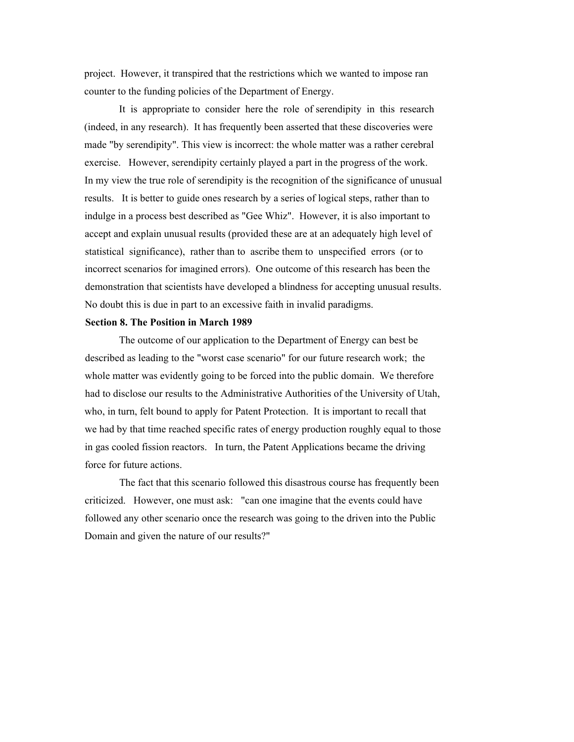project. However, it transpired that the restrictions which we wanted to impose ran counter to the funding policies of the Department of Energy.

It is appropriate to consider here the role of serendipity in this research (indeed, in any research). It has frequently been asserted that these discoveries were made "by serendipity". This view is incorrect: the whole matter was a rather cerebral exercise. However, serendipity certainly played a part in the progress of the work. In my view the true role of serendipity is the recognition of the significance of unusual results. It is better to guide ones research by a series of logical steps, rather than to indulge in a process best described as "Gee Whiz". However, it is also important to accept and explain unusual results (provided these are at an adequately high level of statistical significance), rather than to ascribe them to unspecified errors (or to incorrect scenarios for imagined errors). One outcome of this research has been the demonstration that scientists have developed a blindness for accepting unusual results. No doubt this is due in part to an excessive faith in invalid paradigms.

### **Section 8. The Position in March 1989**

The outcome of our application to the Department of Energy can best be described as leading to the "worst case scenario" for our future research work; the whole matter was evidently going to be forced into the public domain. We therefore had to disclose our results to the Administrative Authorities of the University of Utah, who, in turn, felt bound to apply for Patent Protection. It is important to recall that we had by that time reached specific rates of energy production roughly equal to those in gas cooled fission reactors. In turn, the Patent Applications became the driving force for future actions.

The fact that this scenario followed this disastrous course has frequently been criticized. However, one must ask: "can one imagine that the events could have followed any other scenario once the research was going to the driven into the Public Domain and given the nature of our results?"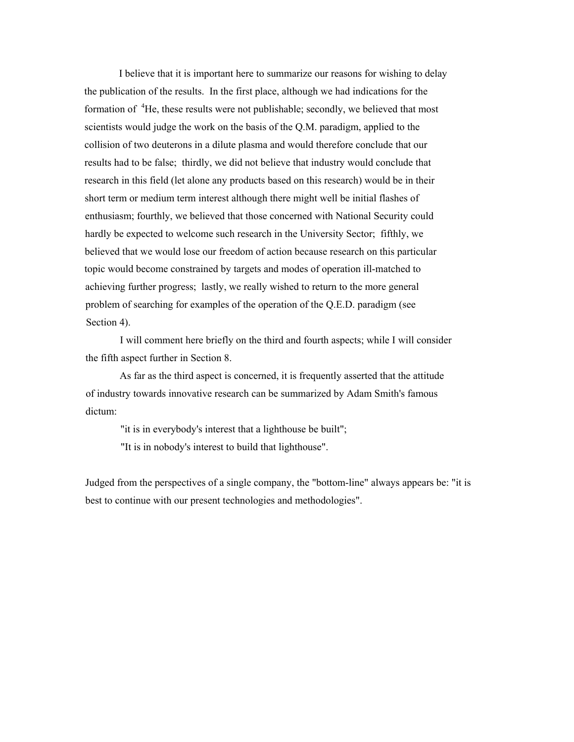I believe that it is important here to summarize our reasons for wishing to delay the publication of the results. In the first place, although we had indications for the formation of <sup>4</sup>He, these results were not publishable; secondly, we believed that most scientists would judge the work on the basis of the Q.M. paradigm, applied to the collision of two deuterons in a dilute plasma and would therefore conclude that our results had to be false; thirdly, we did not believe that industry would conclude that research in this field (let alone any products based on this research) would be in their short term or medium term interest although there might well be initial flashes of enthusiasm; fourthly, we believed that those concerned with National Security could hardly be expected to welcome such research in the University Sector; fifthly, we believed that we would lose our freedom of action because research on this particular topic would become constrained by targets and modes of operation ill-matched to achieving further progress; lastly, we really wished to return to the more general problem of searching for examples of the operation of the Q.E.D. paradigm (see Section 4).

I will comment here briefly on the third and fourth aspects; while I will consider the fifth aspect further in Section 8.

As far as the third aspect is concerned, it is frequently asserted that the attitude of industry towards innovative research can be summarized by Adam Smith's famous dictum:

"it is in everybody's interest that a lighthouse be built"; "It is in nobody's interest to build that lighthouse".

Judged from the perspectives of a single company, the "bottom-line" always appears be: "it is best to continue with our present technologies and methodologies".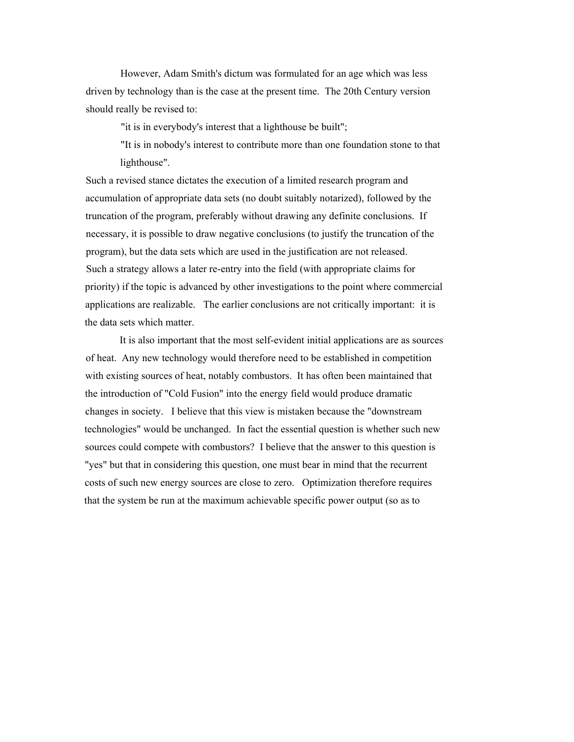However, Adam Smith's dictum was formulated for an age which was less driven by technology than is the case at the present time. The 20th Century version should really be revised to:

"it is in everybody's interest that a lighthouse be built";

"It is in nobody's interest to contribute more than one foundation stone to that lighthouse".

Such a revised stance dictates the execution of a limited research program and accumulation of appropriate data sets (no doubt suitably notarized), followed by the truncation of the program, preferably without drawing any definite conclusions. If necessary, it is possible to draw negative conclusions (to justify the truncation of the program), but the data sets which are used in the justification are not released. Such a strategy allows a later re-entry into the field (with appropriate claims for priority) if the topic is advanced by other investigations to the point where commercial applications are realizable. The earlier conclusions are not critically important: it is the data sets which matter.

It is also important that the most self-evident initial applications are as sources of heat. Any new technology would therefore need to be established in competition with existing sources of heat, notably combustors. It has often been maintained that the introduction of "Cold Fusion" into the energy field would produce dramatic changes in society. I believe that this view is mistaken because the "downstream technologies" would be unchanged. In fact the essential question is whether such new sources could compete with combustors? I believe that the answer to this question is "yes" but that in considering this question, one must bear in mind that the recurrent costs of such new energy sources are close to zero. Optimization therefore requires that the system be run at the maximum achievable specific power output (so as to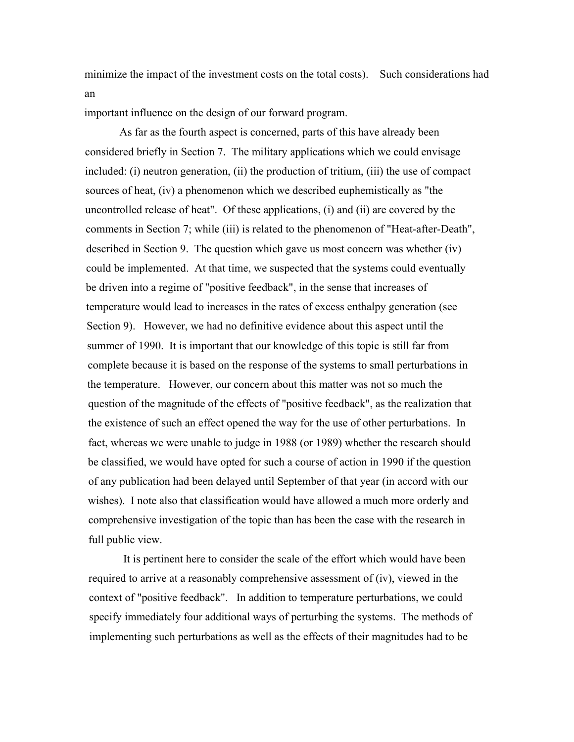minimize the impact of the investment costs on the total costs). Such considerations had an

important influence on the design of our forward program.

As far as the fourth aspect is concerned, parts of this have already been considered briefly in Section 7. The military applications which we could envisage included: (i) neutron generation, (ii) the production of tritium, (iii) the use of compact sources of heat, (iv) a phenomenon which we described euphemistically as "the uncontrolled release of heat". Of these applications, (i) and (ii) are covered by the comments in Section 7; while (iii) is related to the phenomenon of "Heat-after-Death", described in Section 9. The question which gave us most concern was whether (iv) could be implemented. At that time, we suspected that the systems could eventually be driven into a regime of "positive feedback", in the sense that increases of temperature would lead to increases in the rates of excess enthalpy generation (see Section 9). However, we had no definitive evidence about this aspect until the summer of 1990. It is important that our knowledge of this topic is still far from complete because it is based on the response of the systems to small perturbations in the temperature. However, our concern about this matter was not so much the question of the magnitude of the effects of "positive feedback", as the realization that the existence of such an effect opened the way for the use of other perturbations. In fact, whereas we were unable to judge in 1988 (or 1989) whether the research should be classified, we would have opted for such a course of action in 1990 if the question of any publication had been delayed until September of that year (in accord with our wishes). I note also that classification would have allowed a much more orderly and comprehensive investigation of the topic than has been the case with the research in full public view.

It is pertinent here to consider the scale of the effort which would have been required to arrive at a reasonably comprehensive assessment of (iv), viewed in the context of "positive feedback". In addition to temperature perturbations, we could specify immediately four additional ways of perturbing the systems. The methods of implementing such perturbations as well as the effects of their magnitudes had to be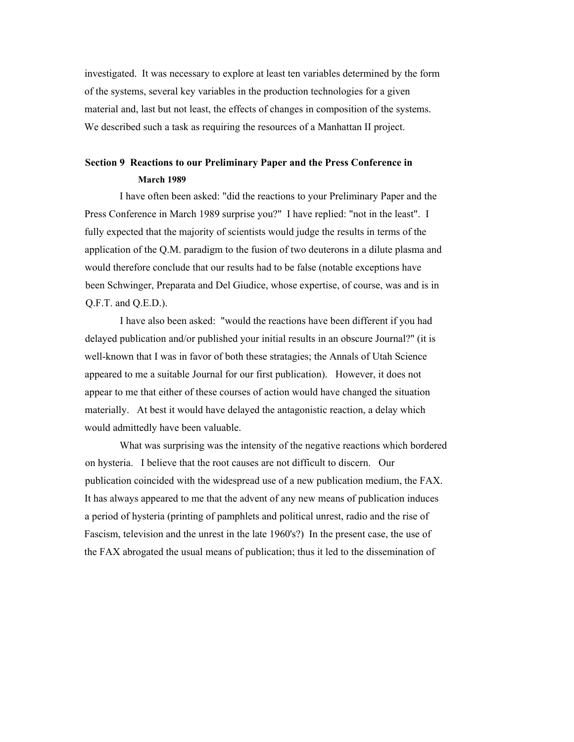investigated. It was necessary to explore at least ten variables determined by the form of the systems, several key variables in the production technologies for a given material and, last but not least, the effects of changes in composition of the systems. We described such a task as requiring the resources of a Manhattan II project.

## **Section 9 Reactions to our Preliminary Paper and the Press Conference in March 1989**

I have often been asked: "did the reactions to your Preliminary Paper and the Press Conference in March 1989 surprise you?" I have replied: "not in the least". I fully expected that the majority of scientists would judge the results in terms of the application of the Q.M. paradigm to the fusion of two deuterons in a dilute plasma and would therefore conclude that our results had to be false (notable exceptions have been Schwinger, Preparata and Del Giudice, whose expertise, of course, was and is in Q.F.T. and Q.E.D.).

I have also been asked: "would the reactions have been different if you had delayed publication and/or published your initial results in an obscure Journal?" (it is well-known that I was in favor of both these stratagies; the Annals of Utah Science appeared to me a suitable Journal for our first publication). However, it does not appear to me that either of these courses of action would have changed the situation materially. At best it would have delayed the antagonistic reaction, a delay which would admittedly have been valuable.

What was surprising was the intensity of the negative reactions which bordered on hysteria. I believe that the root causes are not difficult to discern. Our publication coincided with the widespread use of a new publication medium, the FAX. It has always appeared to me that the advent of any new means of publication induces a period of hysteria (printing of pamphlets and political unrest, radio and the rise of Fascism, television and the unrest in the late 1960's?) In the present case, the use of the FAX abrogated the usual means of publication; thus it led to the dissemination of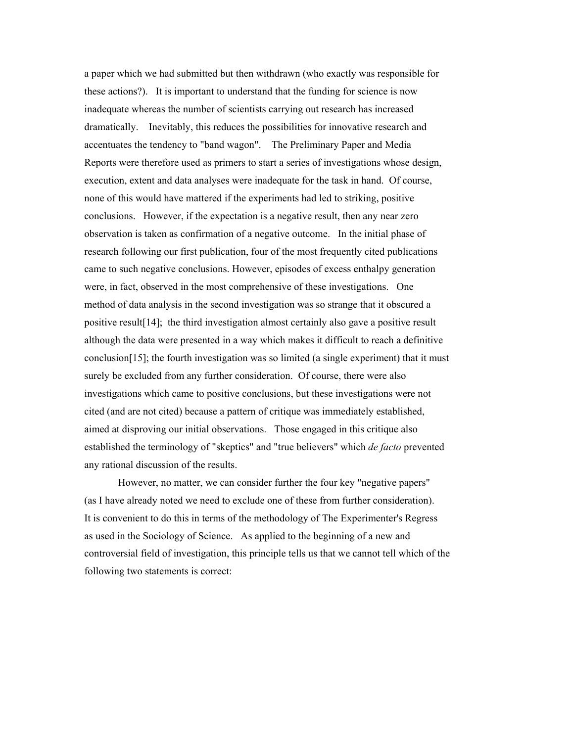a paper which we had submitted but then withdrawn (who exactly was responsible for these actions?). It is important to understand that the funding for science is now inadequate whereas the number of scientists carrying out research has increased dramatically. Inevitably, this reduces the possibilities for innovative research and accentuates the tendency to "band wagon". The Preliminary Paper and Media Reports were therefore used as primers to start a series of investigations whose design, execution, extent and data analyses were inadequate for the task in hand. Of course, none of this would have mattered if the experiments had led to striking, positive conclusions. However, if the expectation is a negative result, then any near zero observation is taken as confirmation of a negative outcome. In the initial phase of research following our first publication, four of the most frequently cited publications came to such negative conclusions. However, episodes of excess enthalpy generation were, in fact, observed in the most comprehensive of these investigations. One method of data analysis in the second investigation was so strange that it obscured a positive result[14]; the third investigation almost certainly also gave a positive result although the data were presented in a way which makes it difficult to reach a definitive conclusion[15]; the fourth investigation was so limited (a single experiment) that it must surely be excluded from any further consideration. Of course, there were also investigations which came to positive conclusions, but these investigations were not cited (and are not cited) because a pattern of critique was immediately established, aimed at disproving our initial observations. Those engaged in this critique also established the terminology of "skeptics" and "true believers" which *de facto* prevented any rational discussion of the results.

However, no matter, we can consider further the four key "negative papers" (as I have already noted we need to exclude one of these from further consideration). It is convenient to do this in terms of the methodology of The Experimenter's Regress as used in the Sociology of Science. As applied to the beginning of a new and controversial field of investigation, this principle tells us that we cannot tell which of the following two statements is correct: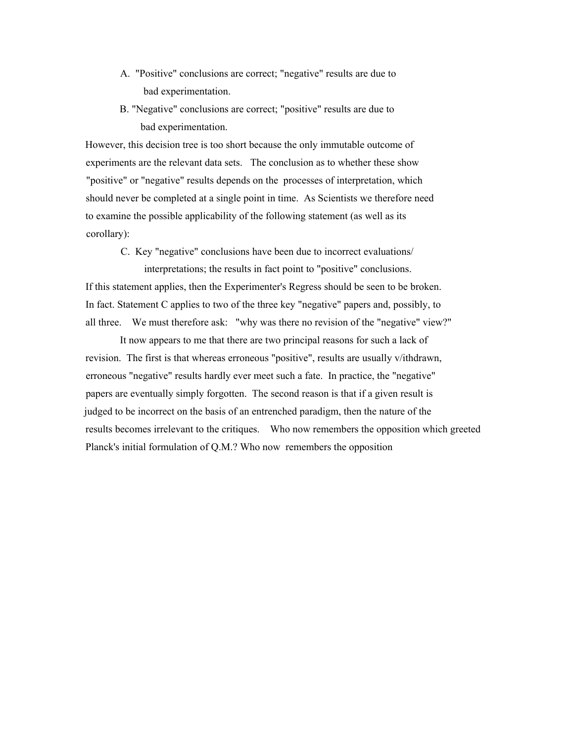- A. "Positive" conclusions are correct; "negative" results are due to bad experimentation.
- B. "Negative" conclusions are correct; "positive" results are due to bad experimentation.

However, this decision tree is too short because the only immutable outcome of experiments are the relevant data sets. The conclusion as to whether these show "positive" or "negative" results depends on the processes of interpretation, which should never be completed at a single point in time. As Scientists we therefore need to examine the possible applicability of the following statement (as well as its corollary):

C. Key "negative" conclusions have been due to incorrect evaluations/

interpretations; the results in fact point to "positive" conclusions. If this statement applies, then the Experimenter's Regress should be seen to be broken.

In fact. Statement C applies to two of the three key "negative" papers and, possibly, to all three. We must therefore ask: "why was there no revision of the "negative" view?"

It now appears to me that there are two principal reasons for such a lack of revision. The first is that whereas erroneous "positive", results are usually v/ithdrawn, erroneous "negative" results hardly ever meet such a fate. In practice, the "negative" papers are eventually simply forgotten. The second reason is that if a given result is judged to be incorrect on the basis of an entrenched paradigm, then the nature of the results becomes irrelevant to the critiques. Who now remembers the opposition which greeted Planck's initial formulation of Q.M.? Who now remembers the opposition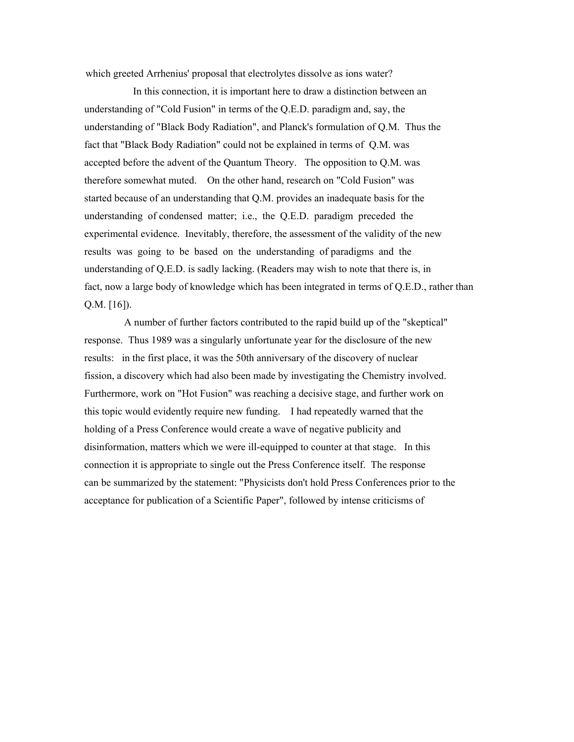which greeted Arrhenius' proposal that electrolytes dissolve as ions water?

In this connection, it is important here to draw a distinction between an understanding of "Cold Fusion" in terms of the Q.E.D. paradigm and, say, the understanding of "Black Body Radiation", and Planck's formulation of Q.M. Thus the fact that "Black Body Radiation" could not be explained in terms of Q.M. was accepted before the advent of the Quantum Theory. The opposition to Q.M. was therefore somewhat muted. On the other hand, research on "Cold Fusion" was started because of an understanding that Q.M. provides an inadequate basis for the understanding of condensed matter; i.e., the Q.E.D. paradigm preceded the experimental evidence. Inevitably, therefore, the assessment of the validity of the new results was going to be based on the understanding of paradigms and the understanding of Q.E.D. is sadly lacking. (Readers may wish to note that there is, in fact, now a large body of knowledge which has been integrated in terms of Q.E.D., rather than Q.M. [16]).

A number of further factors contributed to the rapid build up of the "skeptical" response. Thus 1989 was a singularly unfortunate year for the disclosure of the new results: in the first place, it was the 50th anniversary of the discovery of nuclear fission, a discovery which had also been made by investigating the Chemistry involved. Furthermore, work on "Hot Fusion" was reaching a decisive stage, and further work on this topic would evidently require new funding. I had repeatedly warned that the holding of a Press Conference would create a wave of negative publicity and disinformation, matters which we were ill-equipped to counter at that stage. In this connection it is appropriate to single out the Press Conference itself. The response can be summarized by the statement: "Physicists don't hold Press Conferences prior to the acceptance for publication of a Scientific Paper", followed by intense criticisms of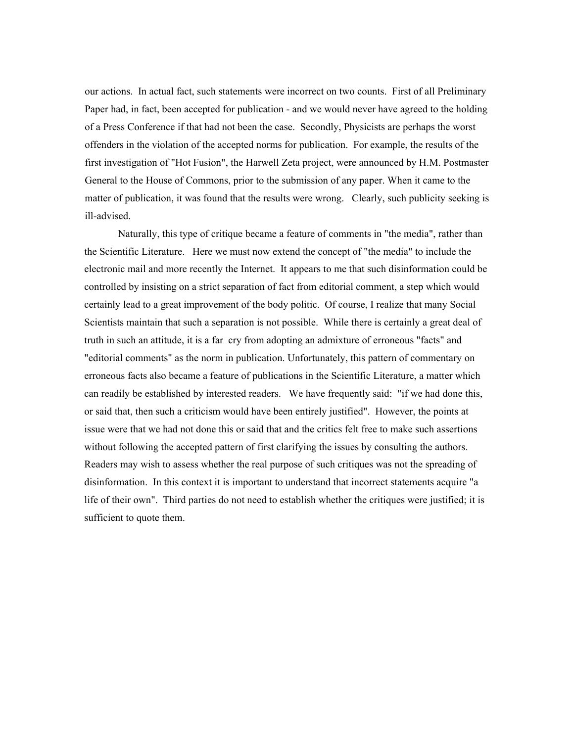our actions. In actual fact, such statements were incorrect on two counts. First of all Preliminary Paper had, in fact, been accepted for publication - and we would never have agreed to the holding of a Press Conference if that had not been the case. Secondly, Physicists are perhaps the worst offenders in the violation of the accepted norms for publication. For example, the results of the first investigation of "Hot Fusion", the Harwell Zeta project, were announced by H.M. Postmaster General to the House of Commons, prior to the submission of any paper. When it came to the matter of publication, it was found that the results were wrong. Clearly, such publicity seeking is ill-advised.

Naturally, this type of critique became a feature of comments in "the media", rather than the Scientific Literature. Here we must now extend the concept of "the media" to include the electronic mail and more recently the Internet. It appears to me that such disinformation could be controlled by insisting on a strict separation of fact from editorial comment, a step which would certainly lead to a great improvement of the body politic. Of course, I realize that many Social Scientists maintain that such a separation is not possible. While there is certainly a great deal of truth in such an attitude, it is a far cry from adopting an admixture of erroneous "facts" and "editorial comments" as the norm in publication. Unfortunately, this pattern of commentary on erroneous facts also became a feature of publications in the Scientific Literature, a matter which can readily be established by interested readers. We have frequently said: "if we had done this, or said that, then such a criticism would have been entirely justified". However, the points at issue were that we had not done this or said that and the critics felt free to make such assertions without following the accepted pattern of first clarifying the issues by consulting the authors. Readers may wish to assess whether the real purpose of such critiques was not the spreading of disinformation. In this context it is important to understand that incorrect statements acquire "a life of their own". Third parties do not need to establish whether the critiques were justified; it is sufficient to quote them.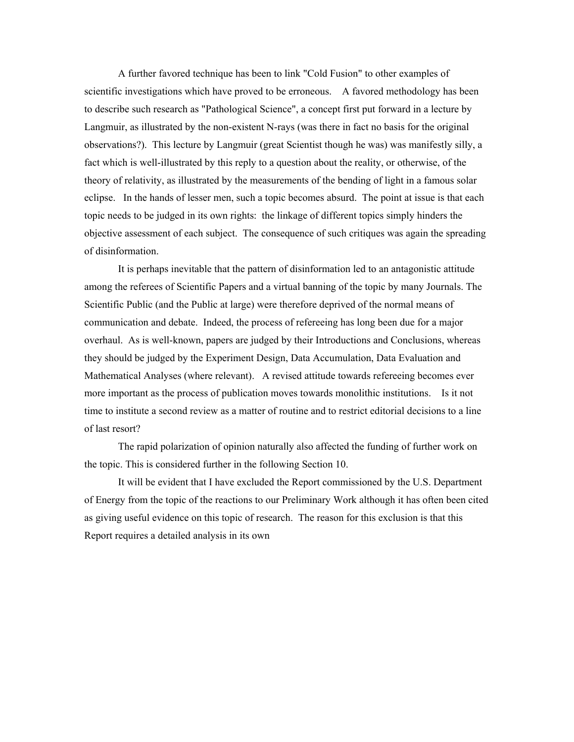A further favored technique has been to link "Cold Fusion" to other examples of scientific investigations which have proved to be erroneous. A favored methodology has been to describe such research as "Pathological Science", a concept first put forward in a lecture by Langmuir, as illustrated by the non-existent N-rays (was there in fact no basis for the original observations?). This lecture by Langmuir (great Scientist though he was) was manifestly silly, a fact which is well-illustrated by this reply to a question about the reality, or otherwise, of the theory of relativity, as illustrated by the measurements of the bending of light in a famous solar eclipse. In the hands of lesser men, such a topic becomes absurd. The point at issue is that each topic needs to be judged in its own rights: the linkage of different topics simply hinders the objective assessment of each subject. The consequence of such critiques was again the spreading of disinformation.

It is perhaps inevitable that the pattern of disinformation led to an antagonistic attitude among the referees of Scientific Papers and a virtual banning of the topic by many Journals. The Scientific Public (and the Public at large) were therefore deprived of the normal means of communication and debate. Indeed, the process of refereeing has long been due for a major overhaul. As is well-known, papers are judged by their Introductions and Conclusions, whereas they should be judged by the Experiment Design, Data Accumulation, Data Evaluation and Mathematical Analyses (where relevant). A revised attitude towards refereeing becomes ever more important as the process of publication moves towards monolithic institutions. Is it not time to institute a second review as a matter of routine and to restrict editorial decisions to a line of last resort?

The rapid polarization of opinion naturally also affected the funding of further work on the topic. This is considered further in the following Section 10.

It will be evident that I have excluded the Report commissioned by the U.S. Department of Energy from the topic of the reactions to our Preliminary Work although it has often been cited as giving useful evidence on this topic of research. The reason for this exclusion is that this Report requires a detailed analysis in its own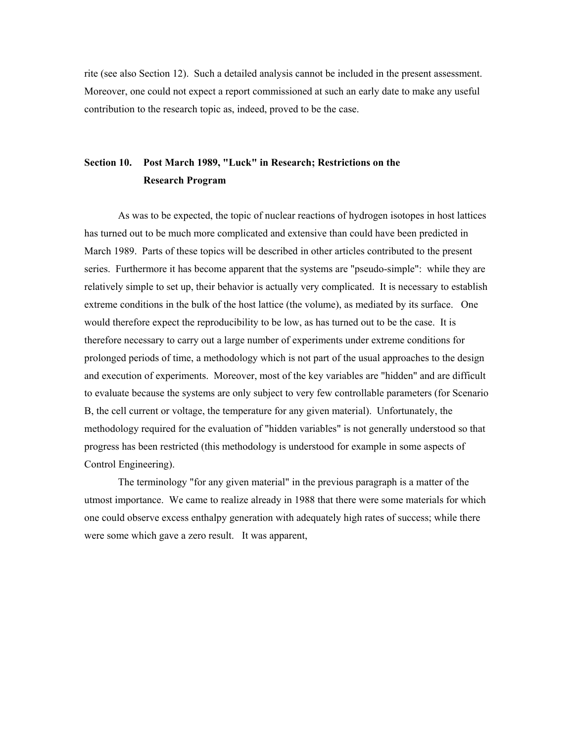rite (see also Section 12). Such a detailed analysis cannot be included in the present assessment. Moreover, one could not expect a report commissioned at such an early date to make any useful contribution to the research topic as, indeed, proved to be the case.

# **Section 10. Post March 1989, "Luck" in Research; Restrictions on the Research Program**

As was to be expected, the topic of nuclear reactions of hydrogen isotopes in host lattices has turned out to be much more complicated and extensive than could have been predicted in March 1989. Parts of these topics will be described in other articles contributed to the present series. Furthermore it has become apparent that the systems are "pseudo-simple": while they are relatively simple to set up, their behavior is actually very complicated. It is necessary to establish extreme conditions in the bulk of the host lattice (the volume), as mediated by its surface. One would therefore expect the reproducibility to be low, as has turned out to be the case. It is therefore necessary to carry out a large number of experiments under extreme conditions for prolonged periods of time, a methodology which is not part of the usual approaches to the design and execution of experiments. Moreover, most of the key variables are "hidden" and are difficult to evaluate because the systems are only subject to very few controllable parameters (for Scenario B, the cell current or voltage, the temperature for any given material). Unfortunately, the methodology required for the evaluation of "hidden variables" is not generally understood so that progress has been restricted (this methodology is understood for example in some aspects of Control Engineering).

The terminology "for any given material" in the previous paragraph is a matter of the utmost importance. We came to realize already in 1988 that there were some materials for which one could observe excess enthalpy generation with adequately high rates of success; while there were some which gave a zero result. It was apparent,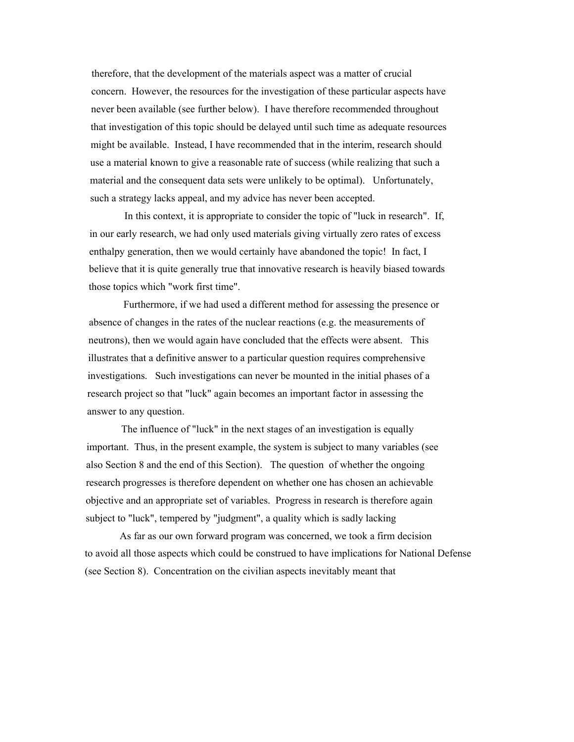therefore, that the development of the materials aspect was a matter of crucial concern. However, the resources for the investigation of these particular aspects have never been available (see further below). I have therefore recommended throughout that investigation of this topic should be delayed until such time as adequate resources might be available. Instead, I have recommended that in the interim, research should use a material known to give a reasonable rate of success (while realizing that such a material and the consequent data sets were unlikely to be optimal). Unfortunately, such a strategy lacks appeal, and my advice has never been accepted.

In this context, it is appropriate to consider the topic of "luck in research". If, in our early research, we had only used materials giving virtually zero rates of excess enthalpy generation, then we would certainly have abandoned the topic! In fact, I believe that it is quite generally true that innovative research is heavily biased towards those topics which "work first time".

Furthermore, if we had used a different method for assessing the presence or absence of changes in the rates of the nuclear reactions (e.g. the measurements of neutrons), then we would again have concluded that the effects were absent. This illustrates that a definitive answer to a particular question requires comprehensive investigations. Such investigations can never be mounted in the initial phases of a research project so that "luck" again becomes an important factor in assessing the answer to any question.

The influence of "luck" in the next stages of an investigation is equally important. Thus, in the present example, the system is subject to many variables (see also Section 8 and the end of this Section). The question of whether the ongoing research progresses is therefore dependent on whether one has chosen an achievable objective and an appropriate set of variables. Progress in research is therefore again subject to "luck", tempered by "judgment", a quality which is sadly lacking

As far as our own forward program was concerned, we took a firm decision to avoid all those aspects which could be construed to have implications for National Defense (see Section 8). Concentration on the civilian aspects inevitably meant that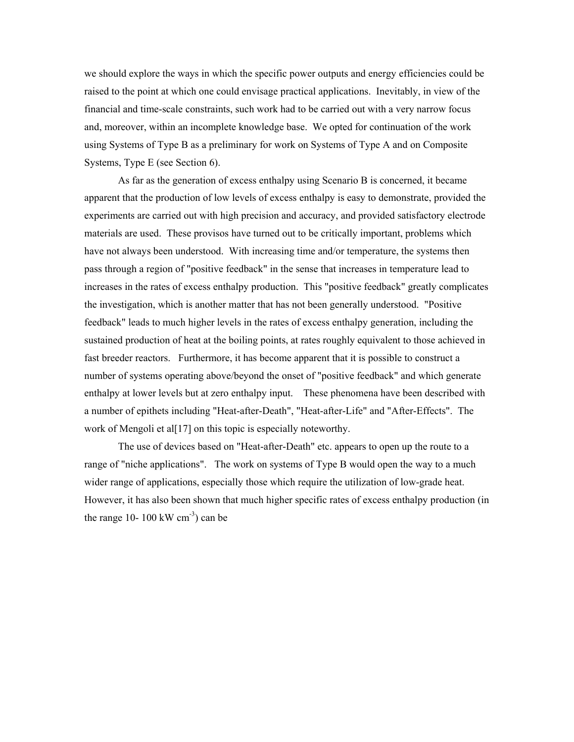we should explore the ways in which the specific power outputs and energy efficiencies could be raised to the point at which one could envisage practical applications. Inevitably, in view of the financial and time-scale constraints, such work had to be carried out with a very narrow focus and, moreover, within an incomplete knowledge base. We opted for continuation of the work using Systems of Type B as a preliminary for work on Systems of Type A and on Composite Systems, Type E (see Section 6).

As far as the generation of excess enthalpy using Scenario B is concerned, it became apparent that the production of low levels of excess enthalpy is easy to demonstrate, provided the experiments are carried out with high precision and accuracy, and provided satisfactory electrode materials are used. These provisos have turned out to be critically important, problems which have not always been understood. With increasing time and/or temperature, the systems then pass through a region of "positive feedback" in the sense that increases in temperature lead to increases in the rates of excess enthalpy production. This "positive feedback" greatly complicates the investigation, which is another matter that has not been generally understood. "Positive feedback" leads to much higher levels in the rates of excess enthalpy generation, including the sustained production of heat at the boiling points, at rates roughly equivalent to those achieved in fast breeder reactors. Furthermore, it has become apparent that it is possible to construct a number of systems operating above/beyond the onset of "positive feedback" and which generate enthalpy at lower levels but at zero enthalpy input. These phenomena have been described with a number of epithets including "Heat-after-Death", "Heat-after-Life" and "After-Effects". The work of Mengoli et al<sup>[17]</sup> on this topic is especially noteworthy.

The use of devices based on "Heat-after-Death" etc. appears to open up the route to a range of "niche applications". The work on systems of Type B would open the way to a much wider range of applications, especially those which require the utilization of low-grade heat. However, it has also been shown that much higher specific rates of excess enthalpy production (in the range 10-  $100 \text{ kW cm}^{-3}$ ) can be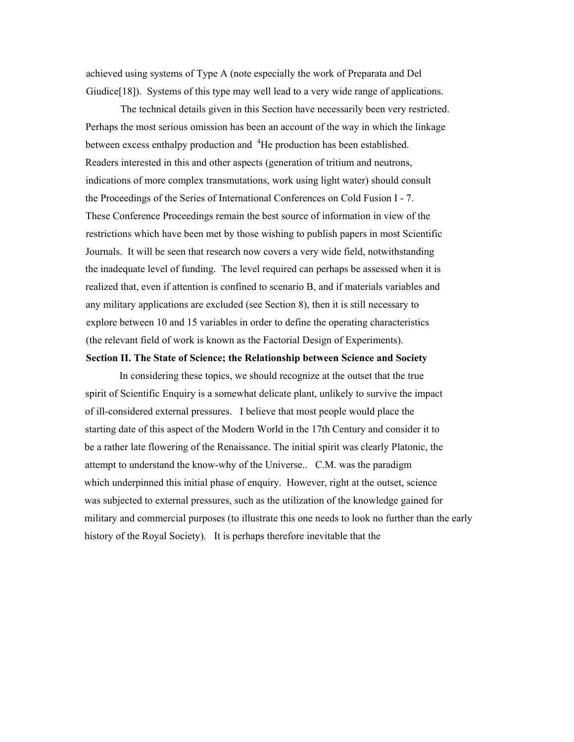achieved using systems of Type A (note especially the work of Preparata and Del Giudice<sup>[18]</sup>). Systems of this type may well lead to a very wide range of applications.

The technical details given in this Section have necessarily been very restricted. Perhaps the most serious omission has been an account of the way in which the linkage between excess enthalpy production and <sup>4</sup>He production has been established. Readers interested in this and other aspects (generation of tritium and neutrons, indications of more complex transmutations, work using light water) should consult the Proceedings of the Series of International Conferences on Cold Fusion I - 7. These Conference Proceedings remain the best source of information in view of the restrictions which have been met by those wishing to publish papers in most Scientific Journals. It will be seen that research now covers a very wide field, notwithstanding the inadequate level of funding. The level required can perhaps be assessed when it is realized that, even if attention is confined to scenario B, and if materials variables and any military applications are excluded (see Section 8), then it is still necessary to explore between 10 and 15 variables in order to define the operating characteristics (the relevant field of work is known as the Factorial Design of Experiments).

### **Section II. The State of Science; the Relationship between Science and Society**

In considering these topics, we should recognize at the outset that the true spirit of Scientific Enquiry is a somewhat delicate plant, unlikely to survive the impact of ill-considered external pressures. I believe that most people would place the starting date of this aspect of the Modern World in the 17th Century and consider it to be a rather late flowering of the Renaissance. The initial spirit was clearly Platonic, the attempt to understand the know-why of the Universe.. C.M. was the paradigm which underpinned this initial phase of enquiry. However, right at the outset, science was subjected to external pressures, such as the utilization of the knowledge gained for military and commercial purposes (to illustrate this one needs to look no further than the early history of the Royal Society). It is perhaps therefore inevitable that the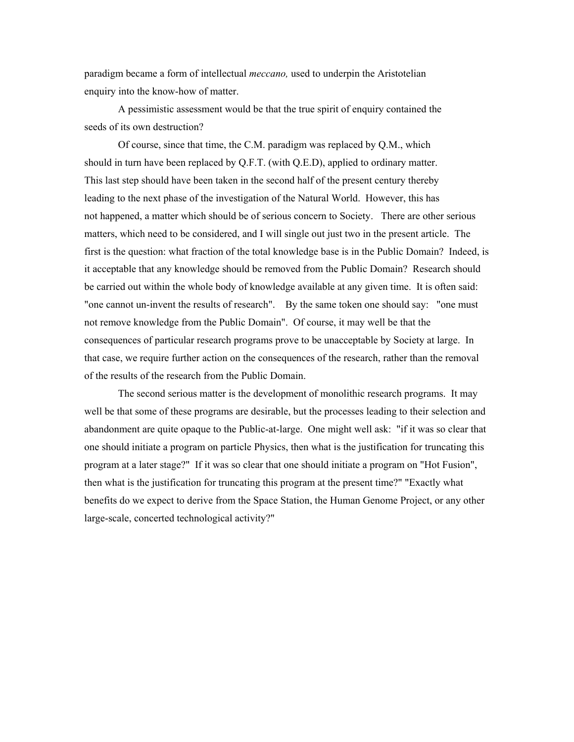paradigm became a form of intellectual *meccano,* used to underpin the Aristotelian enquiry into the know-how of matter.

A pessimistic assessment would be that the true spirit of enquiry contained the seeds of its own destruction?

Of course, since that time, the C.M. paradigm was replaced by Q.M., which should in turn have been replaced by Q.F.T. (with Q.E.D), applied to ordinary matter. This last step should have been taken in the second half of the present century thereby leading to the next phase of the investigation of the Natural World. However, this has not happened, a matter which should be of serious concern to Society. There are other serious matters, which need to be considered, and I will single out just two in the present article. The first is the question: what fraction of the total knowledge base is in the Public Domain? Indeed, is it acceptable that any knowledge should be removed from the Public Domain? Research should be carried out within the whole body of knowledge available at any given time. It is often said: "one cannot un-invent the results of research". By the same token one should say: "one must not remove knowledge from the Public Domain". Of course, it may well be that the consequences of particular research programs prove to be unacceptable by Society at large. In that case, we require further action on the consequences of the research, rather than the removal of the results of the research from the Public Domain.

The second serious matter is the development of monolithic research programs. It may well be that some of these programs are desirable, but the processes leading to their selection and abandonment are quite opaque to the Public-at-large. One might well ask: "if it was so clear that one should initiate a program on particle Physics, then what is the justification for truncating this program at a later stage?" If it was so clear that one should initiate a program on "Hot Fusion", then what is the justification for truncating this program at the present time?" "Exactly what benefits do we expect to derive from the Space Station, the Human Genome Project, or any other large-scale, concerted technological activity?"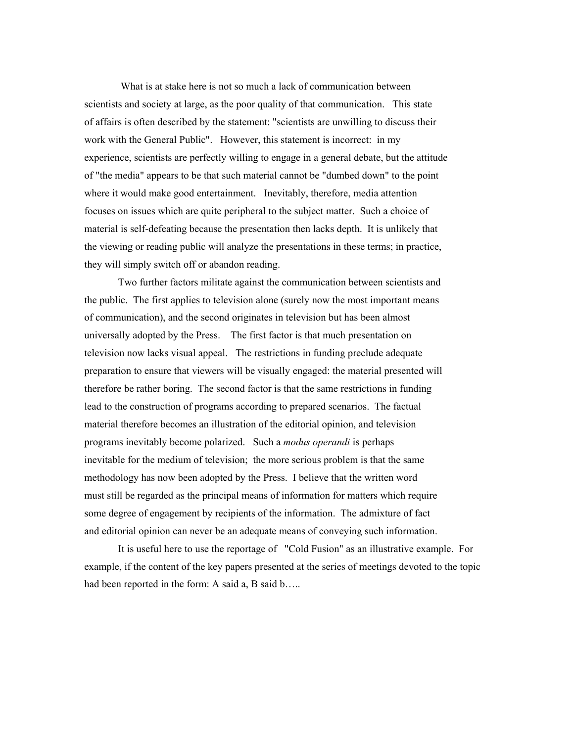What is at stake here is not so much a lack of communication between scientists and society at large, as the poor quality of that communication. This state of affairs is often described by the statement: "scientists are unwilling to discuss their work with the General Public". However, this statement is incorrect: in my experience, scientists are perfectly willing to engage in a general debate, but the attitude of "the media" appears to be that such material cannot be "dumbed down" to the point where it would make good entertainment. Inevitably, therefore, media attention focuses on issues which are quite peripheral to the subject matter. Such a choice of material is self-defeating because the presentation then lacks depth. It is unlikely that the viewing or reading public will analyze the presentations in these terms; in practice, they will simply switch off or abandon reading.

Two further factors militate against the communication between scientists and the public. The first applies to television alone (surely now the most important means of communication), and the second originates in television but has been almost universally adopted by the Press. The first factor is that much presentation on television now lacks visual appeal. The restrictions in funding preclude adequate preparation to ensure that viewers will be visually engaged: the material presented will therefore be rather boring. The second factor is that the same restrictions in funding lead to the construction of programs according to prepared scenarios. The factual material therefore becomes an illustration of the editorial opinion, and television programs inevitably become polarized. Such a *modus operandi* is perhaps inevitable for the medium of television; the more serious problem is that the same methodology has now been adopted by the Press. I believe that the written word must still be regarded as the principal means of information for matters which require some degree of engagement by recipients of the information. The admixture of fact and editorial opinion can never be an adequate means of conveying such information.

It is useful here to use the reportage of "Cold Fusion" as an illustrative example. For example, if the content of the key papers presented at the series of meetings devoted to the topic had been reported in the form: A said a, B said b…..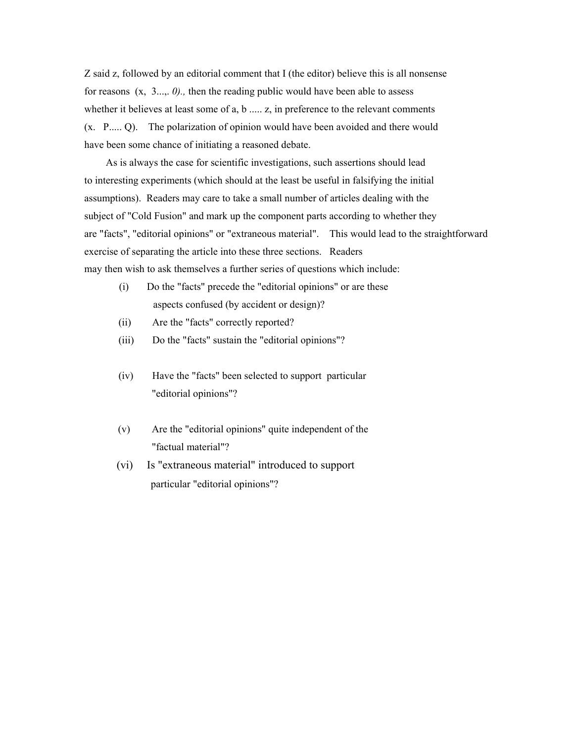Z said z, followed by an editorial comment that I (the editor) believe this is all nonsense for reasons (x, 3...,. *0).,* then the reading public would have been able to assess whether it believes at least some of a, b ..... z, in preference to the relevant comments (x. P..... Q). The polarization of opinion would have been avoided and there would have been some chance of initiating a reasoned debate.

As is always the case for scientific investigations, such assertions should lead to interesting experiments (which should at the least be useful in falsifying the initial assumptions). Readers may care to take a small number of articles dealing with the subject of "Cold Fusion" and mark up the component parts according to whether they are "facts", "editorial opinions" or "extraneous material". This would lead to the straightforward exercise of separating the article into these three sections. Readers may then wish to ask themselves a further series of questions which include:

- (i) Do the "facts" precede the "editorial opinions" or are these aspects confused (by accident or design)?
- (ii) Are the "facts" correctly reported?
- (iii) Do the "facts" sustain the "editorial opinions"?
- (iv) Have the "facts" been selected to support particular "editorial opinions"?
- (v) Are the "editorial opinions" quite independent of the "factual material"?
- (vi) Is "extraneous material" introduced to support particular "editorial opinions"?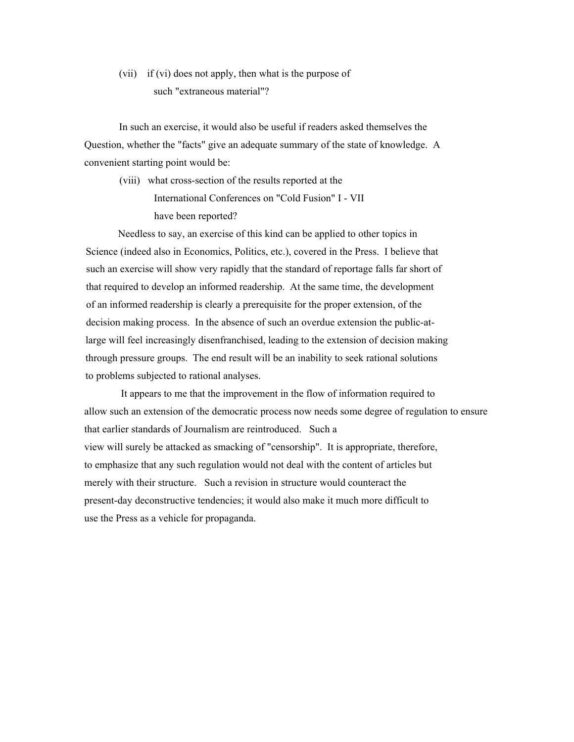## (vii) if (vi) does not apply, then what is the purpose of such "extraneous material"?

In such an exercise, it would also be useful if readers asked themselves the Question, whether the "facts" give an adequate summary of the state of knowledge. A convenient starting point would be:

(viii) what cross-section of the results reported at the International Conferences on "Cold Fusion" I - VII have been reported?

Needless to say, an exercise of this kind can be applied to other topics in Science (indeed also in Economics, Politics, etc.), covered in the Press. I believe that such an exercise will show very rapidly that the standard of reportage falls far short of that required to develop an informed readership. At the same time, the development of an informed readership is clearly a prerequisite for the proper extension, of the decision making process. In the absence of such an overdue extension the public-atlarge will feel increasingly disenfranchised, leading to the extension of decision making through pressure groups. The end result will be an inability to seek rational solutions to problems subjected to rational analyses.

It appears to me that the improvement in the flow of information required to allow such an extension of the democratic process now needs some degree of regulation to ensure that earlier standards of Journalism are reintroduced. Such a view will surely be attacked as smacking of "censorship". It is appropriate, therefore, to emphasize that any such regulation would not deal with the content of articles but merely with their structure. Such a revision in structure would counteract the present-day deconstructive tendencies; it would also make it much more difficult to use the Press as a vehicle for propaganda.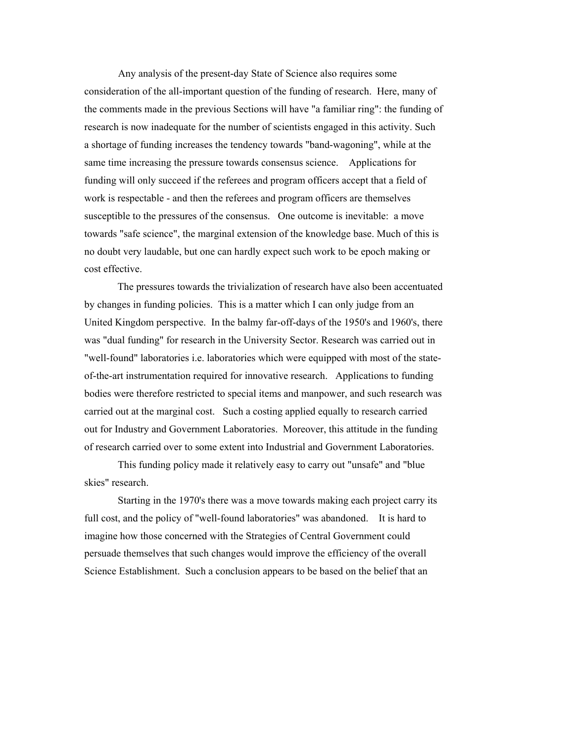Any analysis of the present-day State of Science also requires some consideration of the all-important question of the funding of research. Here, many of the comments made in the previous Sections will have "a familiar ring": the funding of research is now inadequate for the number of scientists engaged in this activity. Such a shortage of funding increases the tendency towards "band-wagoning", while at the same time increasing the pressure towards consensus science. Applications for funding will only succeed if the referees and program officers accept that a field of work is respectable - and then the referees and program officers are themselves susceptible to the pressures of the consensus. One outcome is inevitable: a move towards "safe science", the marginal extension of the knowledge base. Much of this is no doubt very laudable, but one can hardly expect such work to be epoch making or cost effective.

The pressures towards the trivialization of research have also been accentuated by changes in funding policies. This is a matter which I can only judge from an United Kingdom perspective. In the balmy far-off-days of the 1950's and 1960's, there was "dual funding" for research in the University Sector. Research was carried out in "well-found" laboratories i.e. laboratories which were equipped with most of the stateof-the-art instrumentation required for innovative research. Applications to funding bodies were therefore restricted to special items and manpower, and such research was carried out at the marginal cost. Such a costing applied equally to research carried out for Industry and Government Laboratories. Moreover, this attitude in the funding of research carried over to some extent into Industrial and Government Laboratories.

This funding policy made it relatively easy to carry out "unsafe" and "blue skies" research.

Starting in the 1970's there was a move towards making each project carry its full cost, and the policy of "well-found laboratories" was abandoned. It is hard to imagine how those concerned with the Strategies of Central Government could persuade themselves that such changes would improve the efficiency of the overall Science Establishment. Such a conclusion appears to be based on the belief that an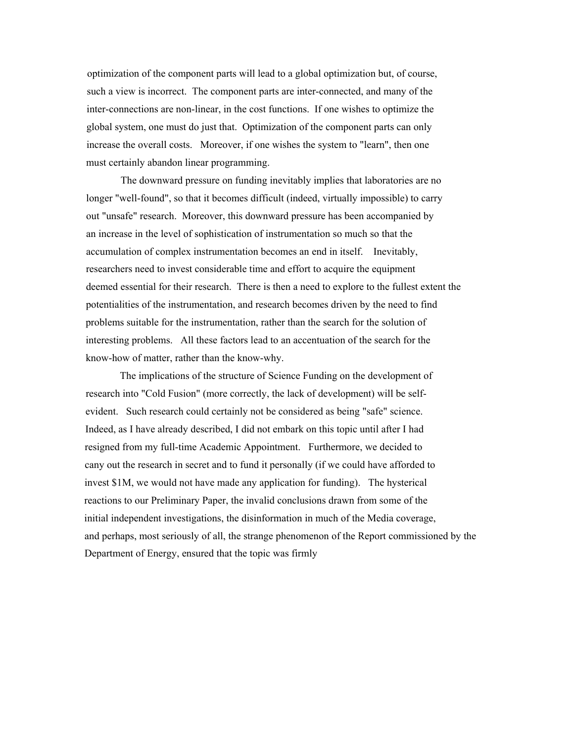optimization of the component parts will lead to a global optimization but, of course, such a view is incorrect. The component parts are inter-connected, and many of the inter-connections are non-linear, in the cost functions. If one wishes to optimize the global system, one must do just that. Optimization of the component parts can only increase the overall costs. Moreover, if one wishes the system to "learn", then one must certainly abandon linear programming.

The downward pressure on funding inevitably implies that laboratories are no longer "well-found", so that it becomes difficult (indeed, virtually impossible) to carry out "unsafe" research. Moreover, this downward pressure has been accompanied by an increase in the level of sophistication of instrumentation so much so that the accumulation of complex instrumentation becomes an end in itself. Inevitably, researchers need to invest considerable time and effort to acquire the equipment deemed essential for their research. There is then a need to explore to the fullest extent the potentialities of the instrumentation, and research becomes driven by the need to find problems suitable for the instrumentation, rather than the search for the solution of interesting problems. All these factors lead to an accentuation of the search for the know-how of matter, rather than the know-why.

The implications of the structure of Science Funding on the development of research into "Cold Fusion" (more correctly, the lack of development) will be selfevident. Such research could certainly not be considered as being "safe" science. Indeed, as I have already described, I did not embark on this topic until after I had resigned from my full-time Academic Appointment. Furthermore, we decided to cany out the research in secret and to fund it personally (if we could have afforded to invest \$1M, we would not have made any application for funding). The hysterical reactions to our Preliminary Paper, the invalid conclusions drawn from some of the initial independent investigations, the disinformation in much of the Media coverage, and perhaps, most seriously of all, the strange phenomenon of the Report commissioned by the Department of Energy, ensured that the topic was firmly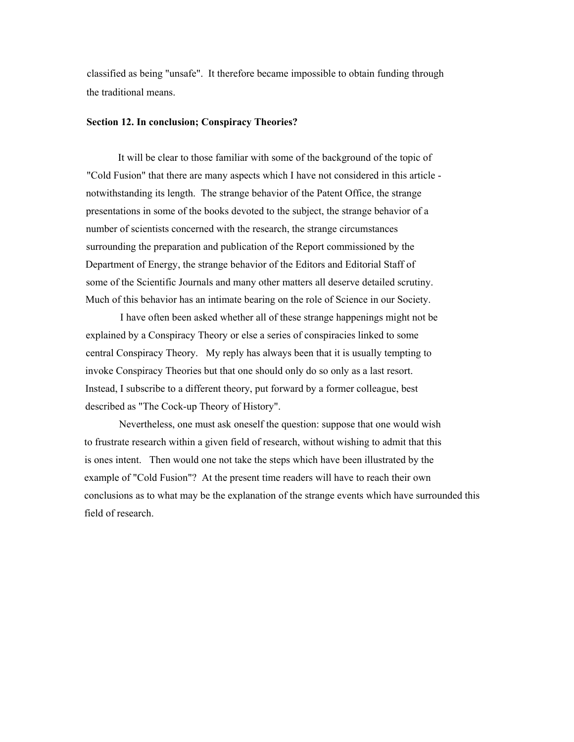classified as being "unsafe". It therefore became impossible to obtain funding through the traditional means.

#### **Section 12. In conclusion; Conspiracy Theories?**

It will be clear to those familiar with some of the background of the topic of "Cold Fusion" that there are many aspects which I have not considered in this article notwithstanding its length. The strange behavior of the Patent Office, the strange presentations in some of the books devoted to the subject, the strange behavior of a number of scientists concerned with the research, the strange circumstances surrounding the preparation and publication of the Report commissioned by the Department of Energy, the strange behavior of the Editors and Editorial Staff of some of the Scientific Journals and many other matters all deserve detailed scrutiny. Much of this behavior has an intimate bearing on the role of Science in our Society.

I have often been asked whether all of these strange happenings might not be explained by a Conspiracy Theory or else a series of conspiracies linked to some central Conspiracy Theory. My reply has always been that it is usually tempting to invoke Conspiracy Theories but that one should only do so only as a last resort. Instead, I subscribe to a different theory, put forward by a former colleague, best described as "The Cock-up Theory of History".

Nevertheless, one must ask oneself the question: suppose that one would wish to frustrate research within a given field of research, without wishing to admit that this is ones intent. Then would one not take the steps which have been illustrated by the example of "Cold Fusion"? At the present time readers will have to reach their own conclusions as to what may be the explanation of the strange events which have surrounded this field of research.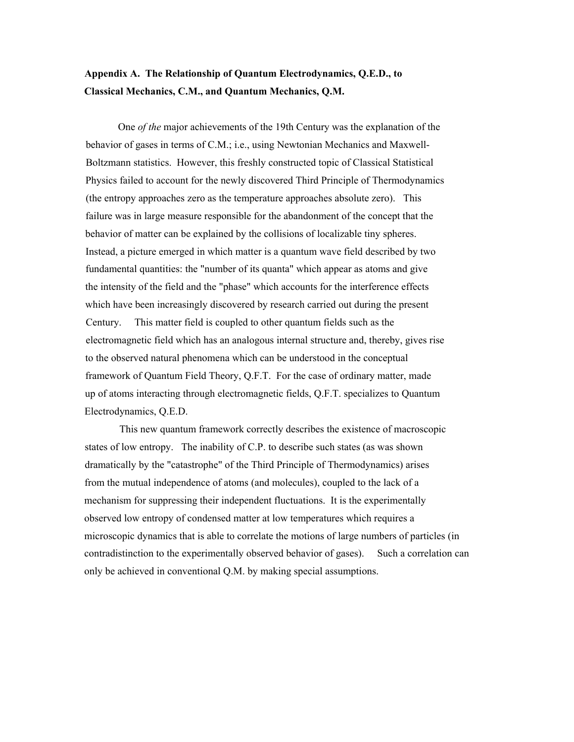## **Appendix A. The Relationship of Quantum Electrodynamics, Q.E.D., to Classical Mechanics, C.M., and Quantum Mechanics, Q.M.**

One *of the* major achievements of the 19th Century was the explanation of the behavior of gases in terms of C.M.; i.e., using Newtonian Mechanics and Maxwell-Boltzmann statistics. However, this freshly constructed topic of Classical Statistical Physics failed to account for the newly discovered Third Principle of Thermodynamics (the entropy approaches zero as the temperature approaches absolute zero). This failure was in large measure responsible for the abandonment of the concept that the behavior of matter can be explained by the collisions of localizable tiny spheres. Instead, a picture emerged in which matter is a quantum wave field described by two fundamental quantities: the "number of its quanta" which appear as atoms and give the intensity of the field and the "phase" which accounts for the interference effects which have been increasingly discovered by research carried out during the present Century. This matter field is coupled to other quantum fields such as the electromagnetic field which has an analogous internal structure and, thereby, gives rise to the observed natural phenomena which can be understood in the conceptual framework of Quantum Field Theory, Q.F.T. For the case of ordinary matter, made up of atoms interacting through electromagnetic fields, Q.F.T. specializes to Quantum Electrodynamics, Q.E.D.

This new quantum framework correctly describes the existence of macroscopic states of low entropy. The inability of C.P. to describe such states (as was shown dramatically by the "catastrophe" of the Third Principle of Thermodynamics) arises from the mutual independence of atoms (and molecules), coupled to the lack of a mechanism for suppressing their independent fluctuations. It is the experimentally observed low entropy of condensed matter at low temperatures which requires a microscopic dynamics that is able to correlate the motions of large numbers of particles (in contradistinction to the experimentally observed behavior of gases). Such a correlation can only be achieved in conventional Q.M. by making special assumptions.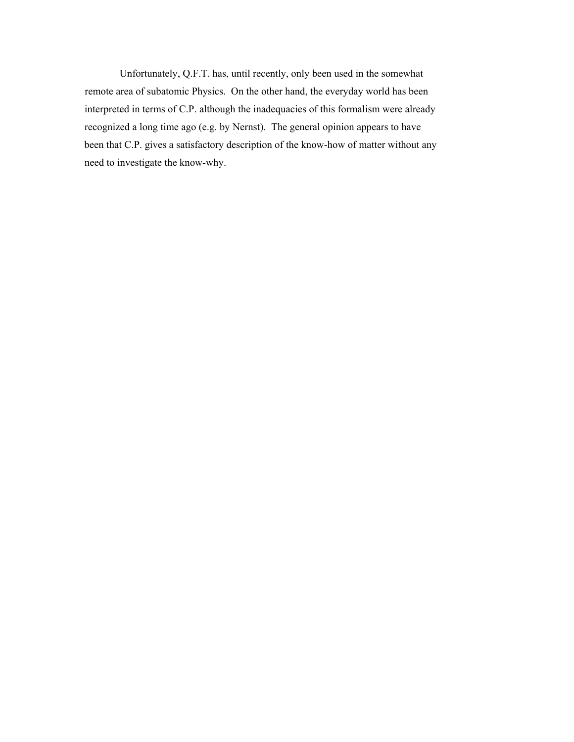Unfortunately, Q.F.T. has, until recently, only been used in the somewhat remote area of subatomic Physics. On the other hand, the everyday world has been interpreted in terms of C.P. although the inadequacies of this formalism were already recognized a long time ago (e.g. by Nernst). The general opinion appears to have been that C.P. gives a satisfactory description of the know-how of matter without any need to investigate the know-why.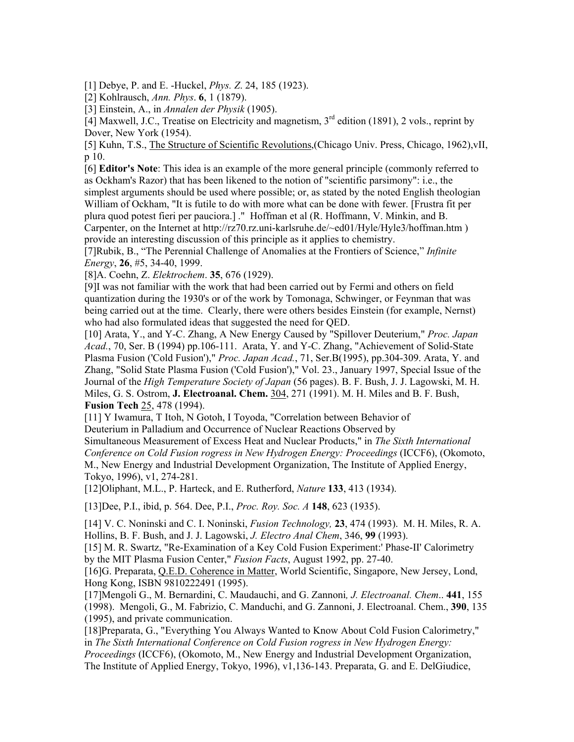[1] Debye, P. and E. -Huckel, *Phys. Z*. 24, 185 (1923).

[2] Kohlrausch, *Ann. Phys*. **6**, 1 (1879).

[3] Einstein, A., in *Annalen der Physik* (1905).

[4] Maxwell, J.C., Treatise on Electricity and magnetism, 3rd edition (1891), 2 vols., reprint by Dover, New York (1954).

[5] Kuhn, T.S., The Structure of Scientific Revolutions,(Chicago Univ. Press, Chicago, 1962),vII, p 10.

[6] **Editor's Note**: This idea is an example of the more general principle (commonly referred to as Ockham's Razor) that has been likened to the notion of "scientific parsimony": i.e., the simplest arguments should be used where possible; or, as stated by the noted English theologian William of Ockham, "It is futile to do with more what can be done with fewer. [Frustra fit per plura quod potest fieri per pauciora.] ." Hoffman et al (R. Hoffmann, V. Minkin, and B. Carpenter, on the Internet at http://rz70.rz.uni-karlsruhe.de/~ed01/Hyle/Hyle3/hoffman.htm ) provide an interesting discussion of this principle as it applies to chemistry.

[7]Rubik, B., "The Perennial Challenge of Anomalies at the Frontiers of Science," *Infinite Energy*, **26**, #5, 34-40, 1999.

[8]A. Coehn, Z. *Elektrochem*. **35**, 676 (1929).

[9]I was not familiar with the work that had been carried out by Fermi and others on field quantization during the 1930's or of the work by Tomonaga, Schwinger, or Feynman that was being carried out at the time. Clearly, there were others besides Einstein (for example, Nernst) who had also formulated ideas that suggested the need for QED.

[10] Arata, Y., and Y-C. Zhang, A New Energy Caused by "Spillover Deuterium," *Proc. Japan Acad.*, 70, Ser. B (1994) pp.106-111. Arata, Y. and Y-C. Zhang, "Achievement of Solid-State Plasma Fusion ('Cold Fusion')," *Proc. Japan Acad.*, 71, Ser.B(1995), pp.304-309. Arata, Y. and Zhang, "Solid State Plasma Fusion ('Cold Fusion')," Vol. 23., January 1997, Special Issue of the Journal of the *High Temperature Society of Japan* (56 pages). B. F. Bush, J. J. Lagowski, M. H. Miles, G. S. Ostrom, **J. Electroanal. Chem.** 304, 271 (1991). M. H. Miles and B. F. Bush, **Fusion Tech** 25, 478 (1994).

[11] Y Iwamura, T Itoh, N Gotoh, I Toyoda, "Correlation between Behavior of Deuterium in Palladium and Occurrence of Nuclear Reactions Observed by

Simultaneous Measurement of Excess Heat and Nuclear Products," in *The Sixth International Conference on Cold Fusion rogress in New Hydrogen Energy: Proceedings* (ICCF6), (Okomoto, M., New Energy and Industrial Development Organization, The Institute of Applied Energy, Tokyo, 1996), v1, 274-281.

[12]Oliphant, M.L., P. Harteck, and E. Rutherford, *Nature* **133**, 413 (1934).

[13]Dee, P.I., ibid, p. 564. Dee, P.I., *Proc. Roy. Soc. A* **148**, 623 (1935).

[14] V. C. Noninski and C. I. Noninski, *Fusion Technology,* **23**, 474 (1993). M. H. Miles, R. A. Hollins, B. F. Bush, and J. J. Lagowski, *J. Electro Anal Chem*, 346, **99** (1993).

[15] M. R. Swartz, "Re-Examination of a Key Cold Fusion Experiment:' Phase-II' Calorimetry by the MIT Plasma Fusion Center," *Fusion Facts*, August 1992, pp. 27-40.

[16]G. Preparata, Q.E.D. Coherence in Matter, World Scientific, Singapore, New Jersey, Lond, Hong Kong, ISBN 9810222491 (1995).

[17]Mengoli G., M. Bernardini, C. Maudauchi, and G. Zannoni*, J. Electroanal. Chem*.. **441**, 155 (1998). Mengoli, G., M. Fabrizio, C. Manduchi, and G. Zannoni, J. Electroanal. Chem., **390**, 135 (1995), and private communication.

[18]Preparata, G., "Everything You Always Wanted to Know About Cold Fusion Calorimetry," in *The Sixth International Conference on Cold Fusion rogress in New Hydrogen Energy: Proceedings* (ICCF6), (Okomoto, M., New Energy and Industrial Development Organization, The Institute of Applied Energy, Tokyo, 1996), v1,136-143. Preparata, G. and E. DelGiudice,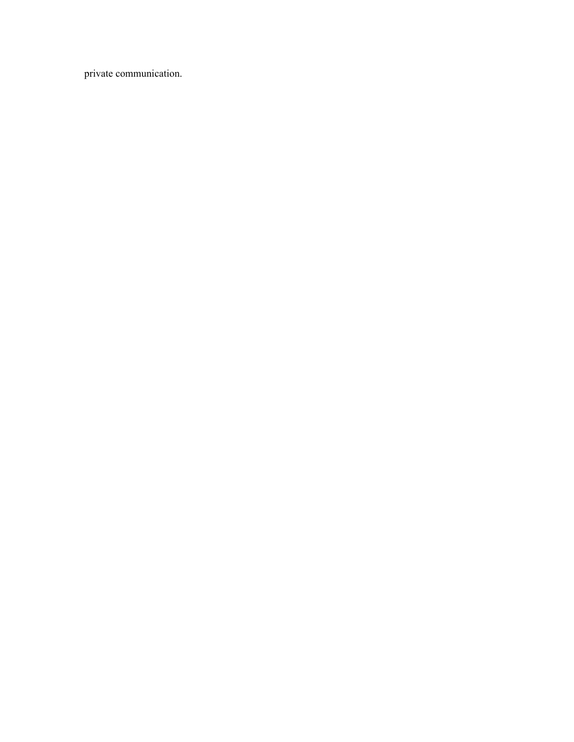private communication.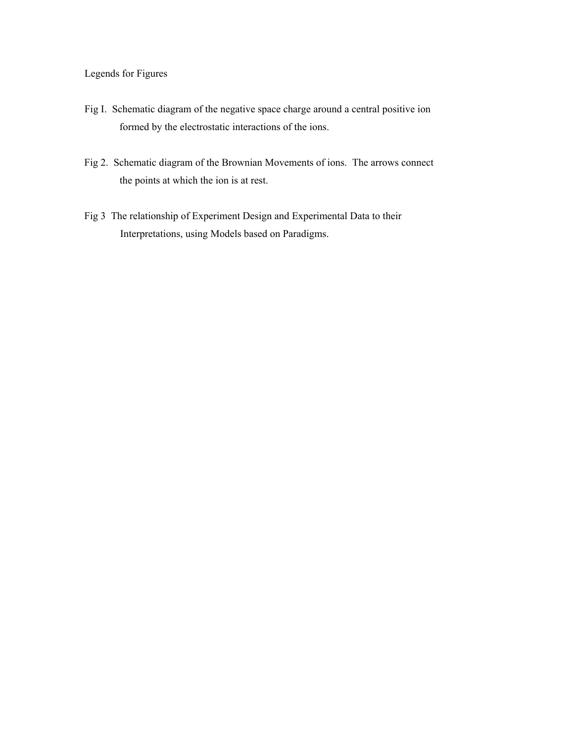Legends for Figures

- Fig I. Schematic diagram of the negative space charge around a central positive ion formed by the electrostatic interactions of the ions.
- Fig 2. Schematic diagram of the Brownian Movements of ions. The arrows connect the points at which the ion is at rest.
- Fig 3 The relationship of Experiment Design and Experimental Data to their Interpretations, using Models based on Paradigms.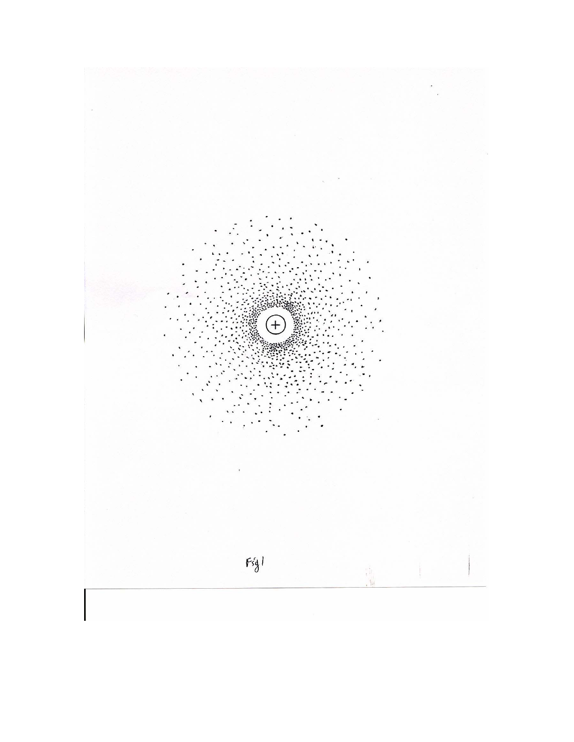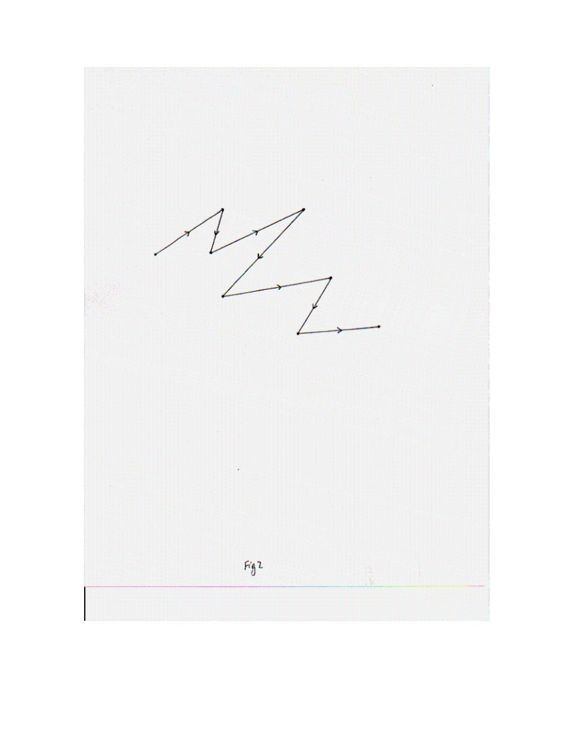